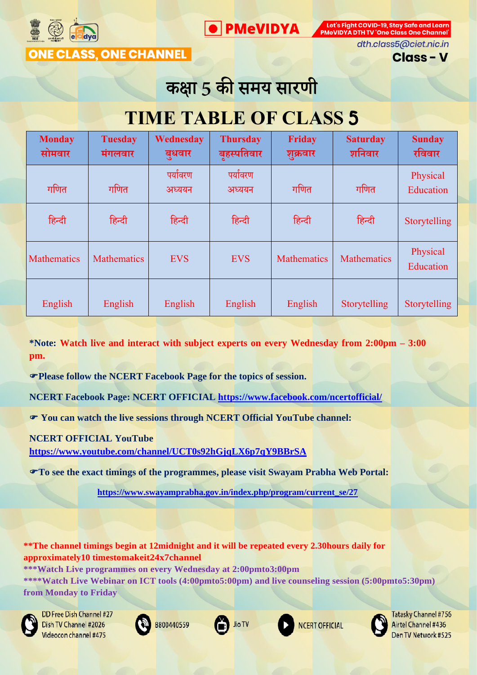

**PMeVIDYA** 

Let's Fight COVID-19, Stay Safe and Learn **PMeVIDYA DTH TV 'One Class One Channel'** 

dth.class5@ciet.nic.in

**ONE CLASS, ONE CHANNEL** 

**Class - V** 

# कक्षा 5 की समय सारणी

# **TIME TABLE OF CLASS** 5

| <b>Monday</b><br>सोमवार | <b>Tuesday</b><br>मंगलवार | Wednesday<br>बुधवार | <b>Thursday</b><br>बृहस्पतिवार | <b>Friday</b><br>शूक्रवार | <b>Saturday</b><br>शनिवार | <b>Sunday</b><br>रविवार |
|-------------------------|---------------------------|---------------------|--------------------------------|---------------------------|---------------------------|-------------------------|
| गणित                    | गणित                      | पर्यावरण<br>अध्ययन  | पर्यावरण<br>अध्ययन             | गणित                      | गणित                      | Physical<br>Education   |
| हिन्दी                  | हिन्दी                    | हिन्दी              | हिन्दी                         | हिन्दी                    | हिन्दी                    | Storytelling            |
| <b>Mathematics</b>      | <b>Mathematics</b>        | <b>EVS</b>          | <b>EVS</b>                     | <b>Mathematics</b>        | <b>Mathematics</b>        | Physical<br>Education   |
| English                 | English                   | English             | English                        | English                   | Storytelling              | Storytelling            |

**\*Note: Watch live and interact with subject experts on every Wednesday from 2:00pm – 3:00 pm.** 

**Please follow the NCERT Facebook Page for the topics of session.**

**NCERT Facebook Page: NCERT OFFICIAL<https://www.facebook.com/ncertofficial/>**

**You can watch the live sessions through NCERT Official YouTube channel:** 

#### **NCERT OFFICIAL YouTube**

**<https://www.youtube.com/channel/UCT0s92hGjqLX6p7qY9BBrSA>**

**To see the exact timings of the programmes, please visit Swayam Prabha Web Portal:**

**[https://www.swayamprabha.gov.in/index.php/program/current\\_se/27](https://www.swayamprabha.gov.in/index.php/program/current_se/27)**

**\*\*The channel timings begin at 12midnight and it will be repeated every 2.30hours daily for approximately10 timestomakeit24x7channel \*\*\*Watch Live programmes on every Wednesday at 2:00pmto3:00pm \*\*\*\*Watch Live Webinar on ICT tools (4:00pmto5:00pm) and live counseling session (5:00pmto5:30pm) from Monday to Friday**



DD Free Dish Channel #27 Dish TV Channel #2026 Videocon channel #475







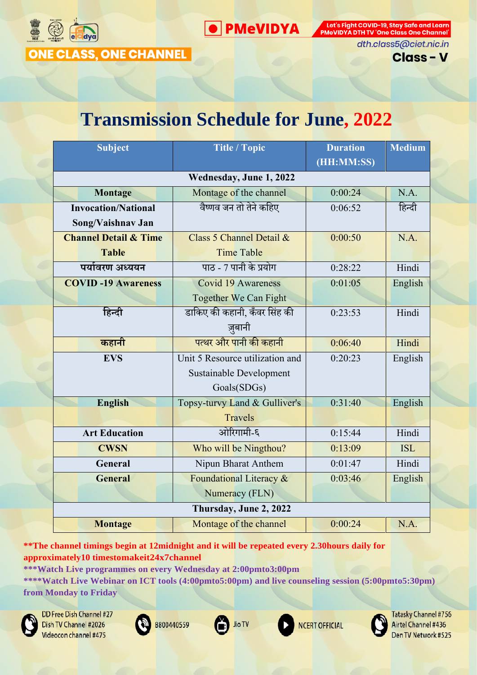

dth.class5@ciet.nic.in

**Class - V** 

# **Transmission Schedule for June, 2022**

**PMeVIDYA** 

| <b>Subject</b>                   | <b>Title / Topic</b>            | <b>Duration</b><br>(HH:MM:SS) | <b>Medium</b> |  |  |
|----------------------------------|---------------------------------|-------------------------------|---------------|--|--|
| Wednesday, June 1, 2022          |                                 |                               |               |  |  |
| <b>Montage</b>                   | Montage of the channel          | 0:00:24                       | N.A.          |  |  |
| <b>Invocation/National</b>       | वैष्णव जन तो तेने कहिए          | 0:06:52                       | हिन्दी        |  |  |
| Song/Vaishnav Jan                |                                 |                               |               |  |  |
| <b>Channel Detail &amp; Time</b> | Class 5 Channel Detail &        | 0:00:50                       | N.A.          |  |  |
| <b>Table</b>                     | <b>Time Table</b>               |                               |               |  |  |
| पर्यावरण अध्ययन                  | पाठ - 7 पानी के प्रयोग          | 0:28:22                       | Hindi         |  |  |
| <b>COVID-19 Awareness</b>        | Covid 19 Awareness              | 0:01:05                       | English       |  |  |
|                                  | Together We Can Fight           |                               |               |  |  |
| हिन्दी                           | डाकिए की कहानी, कँवर सिंह की    | 0:23:53                       | Hindi         |  |  |
|                                  | ज़्बानी                         |                               |               |  |  |
| कहानी                            | पत्थर और पानी की कहानी          | 0:06:40                       | Hindi         |  |  |
| <b>EVS</b>                       | Unit 5 Resource utilization and | 0:20:23                       | English       |  |  |
|                                  | Sustainable Development         |                               |               |  |  |
|                                  | Goals(SDGs)                     |                               |               |  |  |
| <b>English</b>                   | Topsy-turvy Land & Gulliver's   | 0:31:40                       | English       |  |  |
|                                  | <b>Travels</b>                  |                               |               |  |  |
| <b>Art Education</b>             | ओरिगामी-६                       | 0:15:44                       | Hindi         |  |  |
| <b>CWSN</b>                      | Who will be Ningthou?           | 0:13:09                       | <b>ISL</b>    |  |  |
| General                          | Nipun Bharat Anthem             | 0:01:47                       | Hindi         |  |  |
| <b>General</b>                   | Foundational Literacy &         | 0:03:46                       | English       |  |  |
|                                  | Numeracy (FLN)                  |                               |               |  |  |
|                                  | Thursday, June 2, 2022          |                               |               |  |  |
| <b>Montage</b>                   | Montage of the channel          | 0:00:24                       | N.A.          |  |  |

**\*\*The channel timings begin at 12midnight and it will be repeated every 2.30hours daily for approximately10 timestomakeit24x7channel**

**\*\*\*Watch Live programmes on every Wednesday at 2:00pmto3:00pm**

**\*\*\*\*Watch Live Webinar on ICT tools (4:00pmto5:00pm) and live counseling session (5:00pmto5:30pm) from Monday to Friday**



DD Free Dish Channel #27 Dish TV Channel #2026 Videocon channel #475





**NCERT OFFICIAL** 

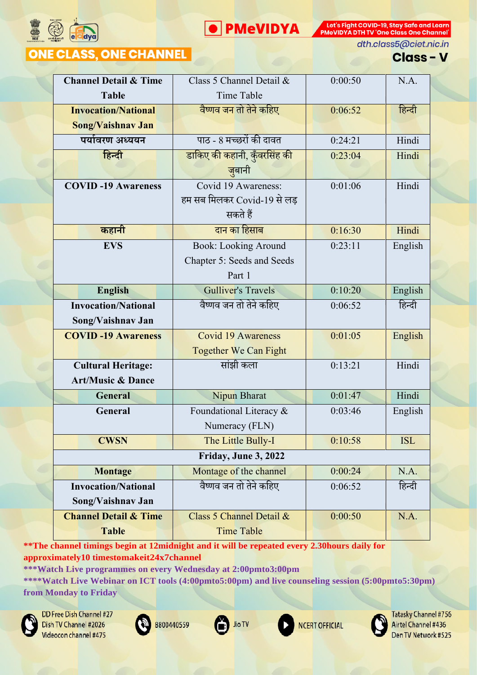



**ONE CLASS, ONE CHANNEL** 

dth.class5@ciet.nic.in

### **Class - V**

| <b>Channel Detail &amp; Time</b> | Class 5 Channel Detail &     | 0:00:50 | N.A.       |  |
|----------------------------------|------------------------------|---------|------------|--|
| <b>Table</b>                     | Time Table                   |         |            |  |
| <b>Invocation/National</b>       | वैष्णव जन तो तेने कहिए       | 0:06:52 | हिन्दी     |  |
| Song/Vaishnav Jan                |                              |         |            |  |
| पर्यावरण अध्ययन                  | पाठ - 8 मच्छरों की दावत      | 0:24:21 | Hindi      |  |
| हिन्दी                           | डाकिए की कहानी, कुँवरसिंह की | 0:23:04 | Hindi      |  |
|                                  | जुबानी                       |         |            |  |
| <b>COVID-19 Awareness</b>        | Covid 19 Awareness:          | 0:01:06 | Hindi      |  |
|                                  | हम सब मिलकर Covid-19 से लड़  |         |            |  |
|                                  | सकते हैं                     |         |            |  |
| कहानी                            | <u>दान का हिसाब</u>          | 0:16:30 | Hindi      |  |
| <b>EVS</b>                       | <b>Book: Looking Around</b>  | 0:23:11 | English    |  |
|                                  | Chapter 5: Seeds and Seeds   |         |            |  |
|                                  | Part 1                       |         |            |  |
| <b>English</b>                   | <b>Gulliver's Travels</b>    | 0:10:20 | English    |  |
| <b>Invocation/National</b>       | वैष्णव जन तो तेने कहिए       | 0:06:52 | हिन्दी     |  |
| Song/Vaishnav Jan                |                              |         |            |  |
| <b>COVID-19 Awareness</b>        | Covid 19 Awareness           | 0:01:05 | English    |  |
|                                  | <b>Together We Can Fight</b> |         |            |  |
| <b>Cultural Heritage:</b>        | सांझी कला                    | 0:13:21 | Hindi      |  |
| <b>Art/Music &amp; Dance</b>     |                              |         |            |  |
| <b>General</b>                   | Nipun Bharat                 | 0:01:47 | Hindi      |  |
| General                          | Foundational Literacy &      | 0:03:46 | English    |  |
|                                  | Numeracy (FLN)               |         |            |  |
| <b>CWSN</b>                      | The Little Bully-I           | 0:10:58 | <b>ISL</b> |  |
| Friday, June 3, 2022             |                              |         |            |  |
| <b>Montage</b>                   | Montage of the channel       | 0:00:24 | N.A.       |  |
| <b>Invocation/National</b>       | वैष्णव जन तो तेने कहिए       | 0:06:52 | हिन्दी     |  |
| Song/Vaishnav Jan                |                              |         |            |  |
| <b>Channel Detail &amp; Time</b> | Class 5 Channel Detail &     | 0:00:50 | N.A.       |  |
| <b>Table</b>                     | <b>Time Table</b>            |         |            |  |

**\*\*The channel timings begin at 12midnight and it will be repeated every 2.30hours daily for approximately10 timestomakeit24x7channel**

**\*\*\*Watch Live programmes on every Wednesday at 2:00pmto3:00pm**

**\*\*\*\*Watch Live Webinar on ICT tools (4:00pmto5:00pm) and live counseling session (5:00pmto5:30pm) from Monday to Friday**



DD Free Dish Channel #27 Dish TV Channel #2026 Videocon channel #475





**NCERT OFFICIAL** 

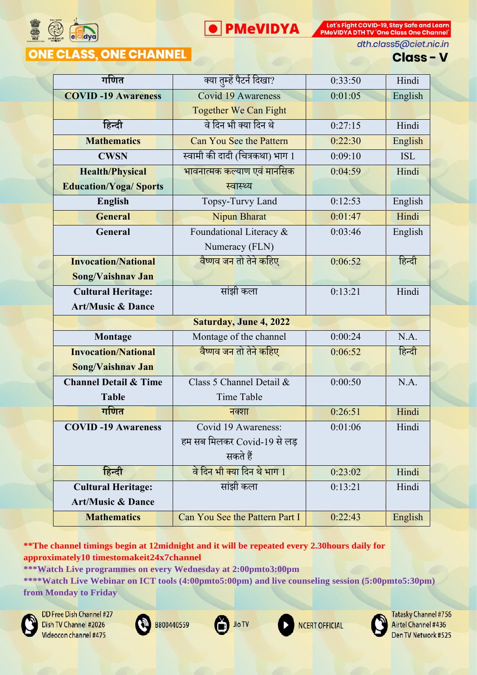

**O** PMeVIDYA

PMeVIDYA DTH TV 'One Class One Channel'

Let's Fight COVID-19, Stay Safe and Learn

# **ONE CLASS, ONE CHANNEL**

dth.class5@ciet.nic.in

### **Class - V**

| गणित                             | क्या तुम्हें पैटर्न दिखा?                 | 0:33:50 | Hindi      |
|----------------------------------|-------------------------------------------|---------|------------|
| <b>COVID-19 Awareness</b>        | Covid 19 Awareness                        | 0:01:05 | English    |
|                                  | <b>Together We Can Fight</b>              |         |            |
| हिन्दी                           | वे दिन भी क्या दिन थे                     | 0:27:15 | Hindi      |
| <b>Mathematics</b>               | <b>Can You See the Pattern</b>            | 0:22:30 | English    |
| <b>CWSN</b>                      | स्वामी की दादी (चित्रकथा) भाग 1           | 0:09:10 | <b>ISL</b> |
| <b>Health/Physical</b>           | <mark>भावनात्मक कल्</mark> याण एवं मानसिक | 0:04:59 | Hindi      |
| <b>Education/Yoga/ Sports</b>    | स्वास्थ्य                                 |         |            |
| <b>English</b>                   | Topsy-Turvy Land                          | 0:12:53 | English    |
| <b>General</b>                   | Nipun Bharat                              | 0:01:47 | Hindi      |
| General                          | Foundational Literacy &                   | 0:03:46 | English    |
|                                  | Numeracy (FLN)                            |         |            |
| <b>Invocation/National</b>       | वैष्णव जन तो तेने कहिए                    | 0:06:52 | हिन्दी     |
| Song/Vaishnav Jan                |                                           |         |            |
| <b>Cultural Heritage:</b>        | सांझी कला                                 | 0:13:21 | Hindi      |
| <b>Art/Music &amp; Dance</b>     |                                           |         |            |
|                                  | Saturday, June 4, 2022                    |         |            |
| Montage                          | Montage of the channel                    | 0:00:24 | N.A.       |
| <b>Invocation/National</b>       | वैष्णव जन तो तेने कहिए                    | 0:06:52 | हिन्दी     |
| Song/Vaishnav Jan                |                                           |         |            |
| <b>Channel Detail &amp; Time</b> | Class 5 Channel Detail &                  | 0:00:50 | N.A.       |
| <b>Table</b>                     | <b>Time Table</b>                         |         |            |
| गणित                             | नक्शा                                     | 0:26:51 | Hindi      |
| <b>COVID-19 Awareness</b>        | Covid 19 Awareness:                       | 0:01:06 | Hindi      |
|                                  |                                           |         |            |
|                                  | हम सब मिलकर Covid-19 से लड़               |         |            |
|                                  | सकते हैं                                  |         |            |
| हिन्दी                           | वे दिन भी क्या दिन थे भाग 1               | 0:23:02 | Hindi      |
| <b>Cultural Heritage:</b>        | सांझी कला                                 | 0:13:21 | Hindi      |
| <b>Art/Music &amp; Dance</b>     |                                           |         |            |

#### **\*\*The channel timings begin at 12midnight and it will be repeated every 2.30hours daily for approximately10 timestomakeit24x7channel**

**\*\*\*Watch Live programmes on every Wednesday at 2:00pmto3:00pm**

**\*\*\*\*Watch Live Webinar on ICT tools (4:00pmto5:00pm) and live counseling session (5:00pmto5:30pm) from Monday to Friday**

Jio TV



DD Free Dish Channel #27 Dish TV Channel #2026 Videocon channel #475





**NCERT OFFICIAL** 

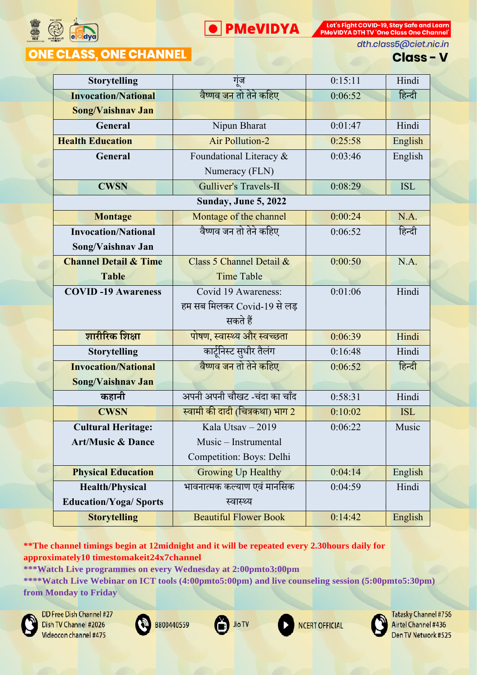

**• PMeVIDYA** 

Let's Fight COVID-19, Stay Safe and Learn PMeVIDYA DTH TV 'One Class One Channel'

dth.class5@ciet.nic.in

# **ONE CLASS, ONE CHANNEL**

**Class - V** 

| <b>Storytelling</b>              | गंज                             | 0:15:11 | Hindi      |
|----------------------------------|---------------------------------|---------|------------|
| <b>Invocation/National</b>       | वैष्णव जन तो तेने कहिए          | 0:06:52 | हिन्दी     |
| Song/Vaishnav Jan                |                                 |         |            |
| General                          | Nipun Bharat                    | 0:01:47 | Hindi      |
| <b>Health Education</b>          | <b>Air Pollution-2</b>          | 0:25:58 | English    |
| General                          | Foundational Literacy &         | 0:03:46 | English    |
|                                  | Numeracy (FLN)                  |         |            |
| <b>CWSN</b>                      | <b>Gulliver's Travels-II</b>    | 0:08:29 | <b>ISL</b> |
|                                  | Sunday, June 5, 2022            |         |            |
| <b>Montage</b>                   | Montage of the channel          | 0:00:24 | N.A.       |
| <b>Invocation/National</b>       | वैष्णव जन तो तेने कहिए          | 0:06:52 | हिन्दी     |
| Song/Vaishnav Jan                |                                 |         |            |
| <b>Channel Detail &amp; Time</b> | Class 5 Channel Detail &        | 0:00:50 | N.A.       |
| <b>Table</b>                     | <b>Time Table</b>               |         |            |
| <b>COVID-19</b> Awareness        | Covid 19 Awareness:             | 0:01:06 | Hindi      |
|                                  | हम सब मिलकर Covid-19 से लड़     |         |            |
|                                  | सकते हैं                        |         |            |
| शारीरिक शिक्षा                   | पोषण, स्वास्थ्य और स्वच्छता     | 0:06:39 | Hindi      |
| <b>Storytelling</b>              | कार्टूनिस्ट सुधीर तैलंग         | 0:16:48 | Hindi      |
| <b>Invocation/National</b>       | वैष्णव जन तो तेने कहिए          | 0:06:52 | हिन्दी     |
| Song/Vaishnav Jan                |                                 |         |            |
| कहानी                            | अपनी अपनी चौखट -चंदा का चाँद    | 0:58:31 | Hindi      |
| <b>CWSN</b>                      | स्वामी की दादी (चित्रकथा) भाग 2 | 0:10:02 | <b>ISL</b> |
| <b>Cultural Heritage:</b>        | Kala Utsay $-2019$              | 0:06:22 | Music      |
| <b>Art/Music &amp; Dance</b>     | Music – Instrumental            |         |            |
|                                  | Competition: Boys: Delhi        |         |            |
| <b>Physical Education</b>        | <b>Growing Up Healthy</b>       | 0:04:14 | English    |
| <b>Health/Physical</b>           | भावनात्मक कल्याण एवं मानसिक     | 0:04:59 | Hindi      |
| <b>Education/Yoga/ Sports</b>    | स्वास्थ्य                       |         |            |
| <b>Storytelling</b>              | <b>Beautiful Flower Book</b>    | 0:14:42 | English    |
|                                  |                                 |         |            |

**\*\*The channel timings begin at 12midnight and it will be repeated every 2.30hours daily for approximately10 timestomakeit24x7channel**

**\*\*\*Watch Live programmes on every Wednesday at 2:00pmto3:00pm**

**\*\*\*\*Watch Live Webinar on ICT tools (4:00pmto5:00pm) and live counseling session (5:00pmto5:30pm) from Monday to Friday**

Jio TV



DD Free Dish Channel #27 Dish TV Channel #2026 Videocon channel #475





**NCERT OFFICIAL** 

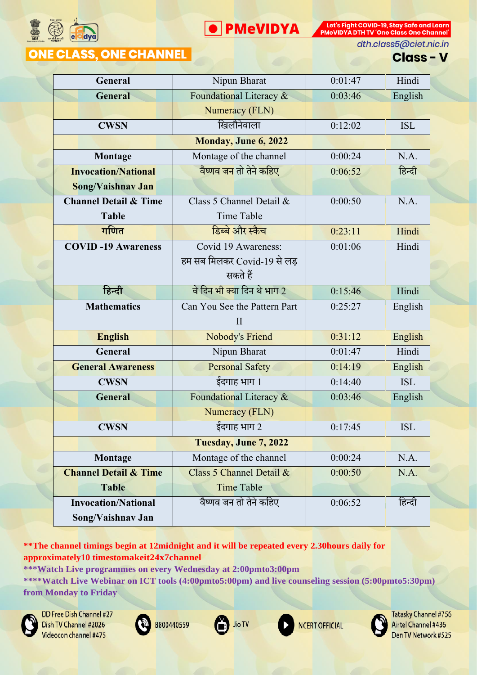

**O** PMeVIDYA

Let's Fight COVID-19, Stay Safe and Learn PMeVIDYA DTH TV 'One Class One Channel'

dth.class5@ciet.nic.in

# **ONE CLASS, ONE CHANNEL**

**Class - V** 

| <b>General</b>                   | Nipun Bharat                 | 0:01:47 | Hindi      |
|----------------------------------|------------------------------|---------|------------|
| <b>General</b>                   | Foundational Literacy &      | 0:03:46 | English    |
|                                  | Numeracy (FLN)               |         |            |
| <b>CWSN</b>                      | खिलौनेवाला                   | 0:12:02 | <b>ISL</b> |
|                                  | Monday, June 6, 2022         |         |            |
| <b>Montage</b>                   | Montage of the channel       | 0:00:24 | N.A.       |
| <b>Invocation/National</b>       | वैष्णव जन तो तेने कहिए       | 0:06:52 | हिन्दी     |
| Song/Vaishnav Jan                |                              |         |            |
| <b>Channel Detail &amp; Time</b> | Class 5 Channel Detail &     | 0:00:50 | N.A.       |
| <b>Table</b>                     | <b>Time Table</b>            |         |            |
| गणित                             | डिब्बे और स्कैच              | 0:23:11 | Hindi      |
| <b>COVID-19 Awareness</b>        | Covid 19 Awareness:          | 0:01:06 | Hindi      |
|                                  | हम सब मिलकर Covid-19 से लड़  |         |            |
|                                  | सकते हैं                     |         |            |
| हिन्दी                           | वे दिन भी क्या दिन थे भाग 2  | 0:15:46 | Hindi      |
| <b>Mathematics</b>               | Can You See the Pattern Part | 0:25:27 | English    |
|                                  | $\mathbf{I}$                 |         |            |
| <b>English</b>                   | Nobody's Friend              | 0:31:12 | English    |
| General                          | Nipun Bharat                 | 0:01:47 | Hindi      |
| <b>General Awareness</b>         | <b>Personal Safety</b>       | 0:14:19 | English    |
| <b>CWSN</b>                      | ईदगाह भाग 1                  | 0:14:40 | <b>ISL</b> |
| <b>General</b>                   | Foundational Literacy &      | 0:03:46 | English    |
|                                  | Numeracy (FLN)               |         |            |
| <b>CWSN</b>                      | ईदगाह भाग 2                  | 0:17:45 | <b>ISL</b> |
|                                  | Tuesday, June 7, 2022        |         |            |
| <b>Montage</b>                   | Montage of the channel       | 0:00:24 | N.A.       |
| <b>Channel Detail &amp; Time</b> | Class 5 Channel Detail &     | 0:00:50 | N.A.       |
| <b>Table</b>                     | <b>Time Table</b>            |         |            |
| <b>Invocation/National</b>       | वैष्णव जन तो तेने कहिए       | 0:06:52 | हिन्दी     |
| Song/Vaishnav Jan                |                              |         |            |
|                                  |                              |         |            |

**\*\*The channel timings begin at 12midnight and it will be repeated every 2.30hours daily for approximately10 timestomakeit24x7channel**

**\*\*\*Watch Live programmes on every Wednesday at 2:00pmto3:00pm**

**\*\*\*\*Watch Live Webinar on ICT tools (4:00pmto5:00pm) and live counseling session (5:00pmto5:30pm) from Monday to Friday**



DD Free Dish Channel #27 Dish TV Channel #2026 Videocon channel #475





**NCERT OFFICIAL** 

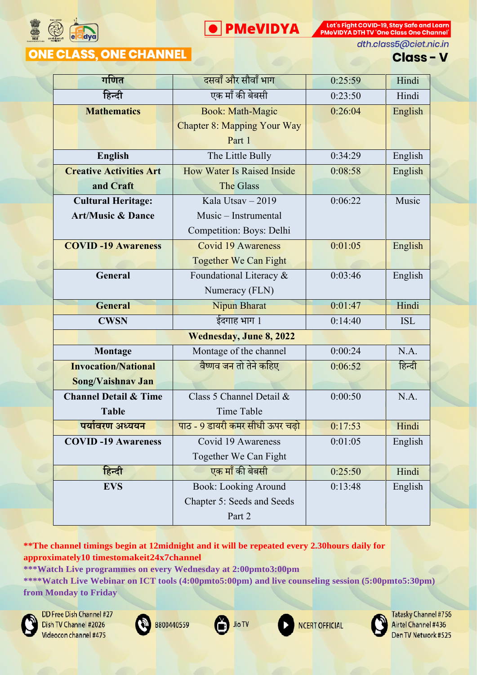

**O** PMeVIDYA

PMeVIDYA DTH TV 'One Class One Channel'

Let's Fight COVID-19, Stay Safe and Learn

# **ONE CLASS, ONE CHANNEL**

dth.class5@ciet.nic.in

### **Class - V**

| गणित                             | दसवाँ और सौवाँ भाग                 | 0:25:59 | Hindi      |
|----------------------------------|------------------------------------|---------|------------|
| हिन्दी                           | एक माँ की बेबसी                    | 0:23:50 | Hindi      |
| <b>Mathematics</b>               | <b>Book: Math-Magic</b>            | 0:26:04 | English    |
|                                  | <b>Chapter 8: Mapping Your Way</b> |         |            |
|                                  | Part 1                             |         |            |
| <b>English</b>                   | The Little Bully                   | 0:34:29 | English    |
| <b>Creative Activities Art</b>   | <b>How Water Is Raised Inside</b>  | 0:08:58 | English    |
| and Craft                        | The Glass                          |         |            |
| <b>Cultural Heritage:</b>        | Kala Utsav $-2019$                 | 0:06:22 | Music      |
| <b>Art/Music &amp; Dance</b>     | Music – Instrumental               |         |            |
|                                  | Competition: Boys: Delhi           |         |            |
| <b>COVID-19 Awareness</b>        | <b>Covid 19 Awareness</b>          | 0:01:05 | English    |
|                                  | <b>Together We Can Fight</b>       |         |            |
| General                          | Foundational Literacy &            | 0:03:46 | English    |
|                                  | Numeracy (FLN)                     |         |            |
| <b>General</b>                   | Nipun Bharat                       | 0:01:47 | Hindi      |
| <b>CWSN</b>                      | ईदगाह भाग 1                        | 0:14:40 | <b>ISL</b> |
|                                  | <b>Wednesday, June 8, 2022</b>     |         |            |
| <b>Montage</b>                   | Montage of the channel             | 0:00:24 | N.A.       |
| <b>Invocation/National</b>       | वैष्णव जन तो तेने कहिए             | 0:06:52 | हिन्दी     |
| Song/Vaishnav Jan                |                                    |         |            |
| <b>Channel Detail &amp; Time</b> | Class 5 Channel Detail &           | 0:00:50 | N.A.       |
| <b>Table</b>                     | <b>Time Table</b>                  |         |            |
| पर्यावरण अध्ययन                  | पाठ - 9 डायरी कमर सीधी ऊपर चढ़ो    | 0:17:53 | Hindi      |
| <b>COVID-19 Awareness</b>        | Covid 19 Awareness                 | 0:01:05 | English    |
|                                  | Together We Can Fight              |         |            |
| हिन्दी                           | एक माँ की बेबसी                    | 0:25:50 | Hindi      |
| <b>EVS</b>                       | <b>Book: Looking Around</b>        | 0:13:48 | English    |
|                                  | Chapter 5: Seeds and Seeds         |         |            |
|                                  | Part 2                             |         |            |

**\*\*The channel timings begin at 12midnight and it will be repeated every 2.30hours daily for approximately10 timestomakeit24x7channel**

**\*\*\*Watch Live programmes on every Wednesday at 2:00pmto3:00pm**

**\*\*\*\*Watch Live Webinar on ICT tools (4:00pmto5:00pm) and live counseling session (5:00pmto5:30pm) from Monday to Friday**



DD Free Dish Channel #27 Dish TV Channel #2026 Videocon channel #475





**NCERT OFFICIAL** 

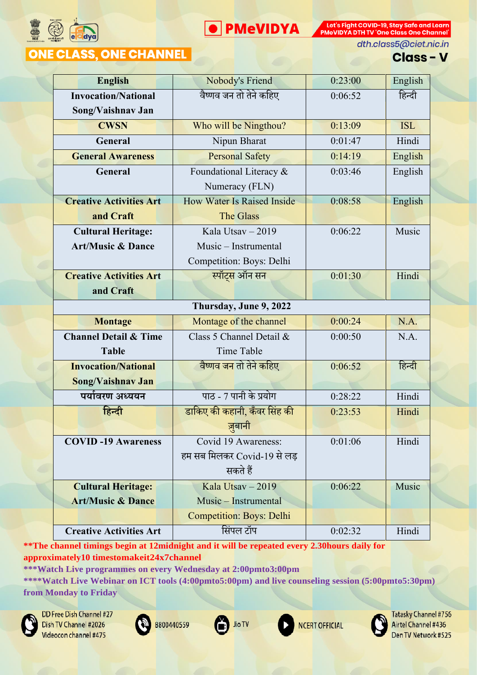



**ONE CLASS, ONE CHANNEL** 

dth.class5@ciet.nic.in

### **Class - V**

| <b>English</b>                   | Nobody's Friend                   | 0:23:00 | English    |
|----------------------------------|-----------------------------------|---------|------------|
| <b>Invocation/National</b>       | वैष्णव जन तो तेने कहिए            | 0:06:52 | हिन्दी     |
| Song/Vaishnav Jan                |                                   |         |            |
| <b>CWSN</b>                      | Who will be Ningthou?             | 0:13:09 | <b>ISL</b> |
| General                          | Nipun Bharat                      | 0:01:47 | Hindi      |
| <b>General Awareness</b>         | <b>Personal Safety</b>            | 0:14:19 | English    |
| General                          | Foundational Literacy &           | 0:03:46 | English    |
|                                  | Numeracy (FLN)                    |         |            |
| <b>Creative Activities Art</b>   | <b>How Water Is Raised Inside</b> | 0:08:58 | English    |
| and Craft                        | <b>The Glass</b>                  |         |            |
| <b>Cultural Heritage:</b>        | Kala Utsav $-2019$                | 0:06:22 | Music      |
| <b>Art/Music &amp; Dance</b>     | Music – Instrumental              |         |            |
|                                  | Competition: Boys: Delhi          |         |            |
| <b>Creative Activities Art</b>   | स्पॉट्स ऑन सन                     | 0:01:30 | Hindi      |
| and Craft                        |                                   |         |            |
|                                  | Thursday, June 9, 2022            |         |            |
| <b>Montage</b>                   | Montage of the channel            | 0:00:24 | N.A.       |
| <b>Channel Detail &amp; Time</b> | Class 5 Channel Detail &          | 0:00:50 | N.A.       |
| <b>Table</b>                     | <b>Time Table</b>                 |         |            |
| <b>Invocation/National</b>       | वैष्णव जन तो तेने कहिए            | 0:06:52 | हिन्दी     |
| Song/Vaishnav Jan                |                                   |         |            |
| पर्यावरण अध्ययन                  | पाठ - 7 पानी के प्रयोग            | 0:28:22 | Hindi      |
| हिन्दी                           | डाकिए की कहानी, कँवर सिंह की      | 0:23:53 | Hindi      |
|                                  | ज़ुबानी                           |         |            |
| <b>COVID-19 Awareness</b>        | Covid 19 Awareness:               | 0:01:06 | Hindi      |
|                                  | हम सब मिलकर Covid-19 से लड़       |         |            |
|                                  | सकते हैं                          |         |            |
| <b>Cultural Heritage:</b>        | Kala Utsay $-2019$                | 0:06:22 | Music      |
| <b>Art/Music &amp; Dance</b>     | Music - Instrumental              |         |            |
|                                  | <b>Competition: Boys: Delhi</b>   |         |            |
| <b>Creative Activities Art</b>   | सिंपल टॉप                         | 0:02:32 | Hindi      |

**\*\*The channel timings begin at 12midnight and it will be repeated every 2.30hours daily for approximately10 timestomakeit24x7channel**

**\*\*\*Watch Live programmes on every Wednesday at 2:00pmto3:00pm**

**\*\*\*\*Watch Live Webinar on ICT tools (4:00pmto5:00pm) and live counseling session (5:00pmto5:30pm) from Monday to Friday**



DD Free Dish Channel #27 Dish TV Channel #2026 Videocon channel #475





**NCERT OFFICIAL** 

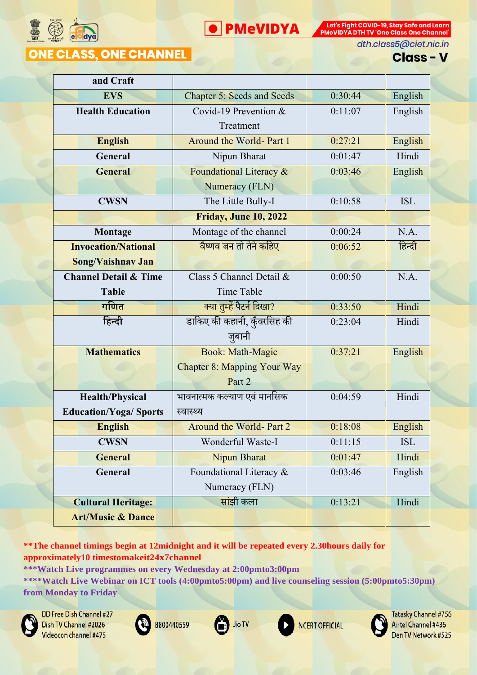

**PMeVIDYA** 

Let's Fight COVID-19, Stay Safe and Learn PMeVIDYA DTH TV 'One Class One Channel'

**ONE CLASS, ONE CHANNEL** 

dth.class5@ciet.nic.in

### **Class - V**

| and Craft                        |                                    |         |            |
|----------------------------------|------------------------------------|---------|------------|
| <b>EVS</b>                       | <b>Chapter 5: Seeds and Seeds</b>  | 0:30:44 | English    |
| <b>Health Education</b>          | Covid-19 Prevention $&$            | 0:11:07 | English    |
|                                  | Treatment                          |         |            |
| <b>English</b>                   | Around the World- Part 1           | 0:27:21 | English    |
| General                          | Nipun Bharat                       | 0:01:47 | Hindi      |
| <b>General</b>                   | Foundational Literacy &            | 0:03:46 | English    |
|                                  | Numeracy (FLN)                     |         |            |
| <b>CWSN</b>                      | The Little Bully-I                 | 0:10:58 | <b>ISL</b> |
|                                  | <b>Friday, June 10, 2022</b>       |         |            |
| <b>Montage</b>                   | Montage of the channel             | 0:00:24 | N.A.       |
| <b>Invocation/National</b>       | वैष्णव जन तो तेने कहिए             | 0:06:52 | हिन्दी     |
| Song/Vaishnav Jan                |                                    |         |            |
| <b>Channel Detail &amp; Time</b> | Class 5 Channel Detail &           | 0:00:50 | N.A.       |
| <b>Table</b>                     | <b>Time Table</b>                  |         |            |
| गणित                             | क्या तुम्हें पैटर्न दिखा?          | 0:33:50 | Hindi      |
| हिन्दी                           | डाकिए की कहानी, कुँवरसिंह की       | 0:23:04 | Hindi      |
|                                  | जुबानी                             |         |            |
| <b>Mathematics</b>               | <b>Book: Math-Magic</b>            | 0:37:21 | English    |
|                                  | <b>Chapter 8: Mapping Your Way</b> |         |            |
|                                  | Part 2                             |         |            |
| <b>Health/Physical</b>           | भावनात्मक कल्याण एवं मानसिक        | 0:04:59 | Hindi      |
| <b>Education/Yoga/ Sports</b>    | स्वास्थ्य                          |         |            |
| <b>English</b>                   | Around the World- Part 2           | 0:18:08 | English    |
| <b>CWSN</b>                      | Wonderful Waste-I                  | 0:11:15 | <b>ISL</b> |
| <b>General</b>                   | Nipun Bharat                       | 0:01:47 | Hindi      |
| General                          | Foundational Literacy &            | 0:03:46 | English    |
|                                  | Numeracy (FLN)                     |         |            |
| <b>Cultural Heritage:</b>        | सांझी कला                          | 0:13:21 | Hindi      |
| <b>Art/Music &amp; Dance</b>     |                                    |         |            |

**\*\*The channel timings begin at 12midnight and it will be repeated every 2.30hours daily for approximately10 timestomakeit24x7channel**

**\*\*\*Watch Live programmes on every Wednesday at 2:00pmto3:00pm**

**\*\*\*\*Watch Live Webinar on ICT tools (4:00pmto5:00pm) and live counseling session (5:00pmto5:30pm) from Monday to Friday**

Jio TV



DD Free Dish Channel #27 Dish TV Channel #2026 Videocon channel #475





**NCERT OFFICIAL** 

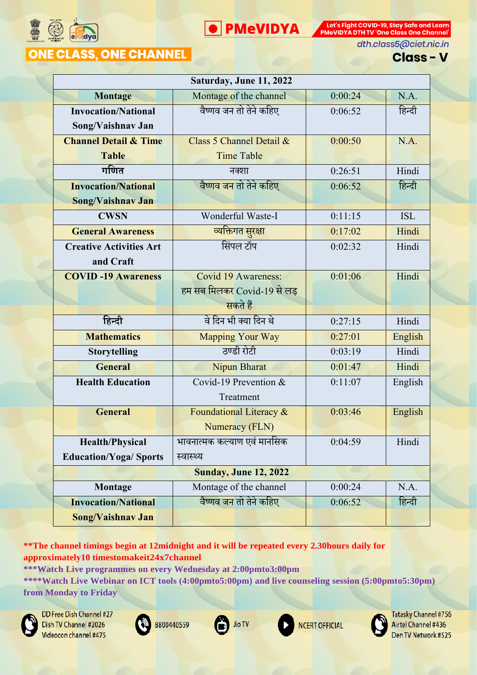

**ONE CLASS, ONE CHANNEL** 

PMeVIDYA DTH TV 'One Class One Channel' dth.class5@ciet.nic.in

Let's Fight COVID-19, Stay Safe and Learn

### **Class - V**

| Saturday, June 11, 2022          |                              |         |            |  |
|----------------------------------|------------------------------|---------|------------|--|
| <b>Montage</b>                   | Montage of the channel       | 0:00:24 | N.A.       |  |
| <b>Invocation/National</b>       | वैष्णव जन तो तेने कहिए       | 0:06:52 | हिन्दी     |  |
| Song/Vaishnav Jan                |                              |         |            |  |
| <b>Channel Detail &amp; Time</b> | Class 5 Channel Detail &     | 0:00:50 | N.A.       |  |
| <b>Table</b>                     | <b>Time Table</b>            |         |            |  |
| गणित                             | नक्शा                        | 0:26:51 | Hindi      |  |
| <b>Invocation/National</b>       | वैष्णव जन तो तेने कहिए       | 0:06:52 | हिन्दी     |  |
| Song/Vaishnav Jan                |                              |         |            |  |
| <b>CWSN</b>                      | Wonderful Waste-I            | 0:11:15 | <b>ISL</b> |  |
| <b>General Awareness</b>         | व्यक्तिगत सुरक्षा            | 0:17:02 | Hindi      |  |
| <b>Creative Activities Art</b>   | सिंपल टॉप                    | 0:02:32 | Hindi      |  |
| and Craft                        |                              |         |            |  |
| <b>COVID-19 Awareness</b>        | Covid 19 Awareness:          | 0:01:06 | Hindi      |  |
|                                  | हम सब मिलकर Covid-19 से लड़  |         |            |  |
|                                  | सकते हैं                     |         |            |  |
| हिन्दी                           | वे दिन भी क्या दिन थे        | 0:27:15 | Hindi      |  |
| <b>Mathematics</b>               | <b>Mapping Your Way</b>      | 0:27:01 | English    |  |
| <b>Storytelling</b>              | ठण्डी रोटी                   | 0:03:19 | Hindi      |  |
| <b>General</b>                   | <b>Nipun Bharat</b>          | 0:01:47 | Hindi      |  |
| <b>Health Education</b>          | Covid-19 Prevention $&$      | 0:11:07 | English    |  |
|                                  | Treatment                    |         |            |  |
| <b>General</b>                   | Foundational Literacy &      | 0:03:46 | English    |  |
|                                  | Numeracy (FLN)               |         |            |  |
| <b>Health/Physical</b>           | भावनात्मक कल्याण एवं मानसिक  | 0:04:59 | Hindi      |  |
| <b>Education/Yoga/ Sports</b>    | स्वास्थ्य                    |         |            |  |
|                                  | <b>Sunday, June 12, 2022</b> |         |            |  |
| Montage                          | Montage of the channel       | 0:00:24 | N.A.       |  |
| <b>Invocation/National</b>       | वैष्णव जन तो तेने कहिए       | 0:06:52 | हिन्दी     |  |
| Song/Vaishnav Jan                |                              |         |            |  |

**D** PMeVIDYA

**\*\*The channel timings begin at 12midnight and it will be repeated every 2.30hours daily for approximately10 timestomakeit24x7channel**

**\*\*\*Watch Live programmes on every Wednesday at 2:00pmto3:00pm**

**\*\*\*\*Watch Live Webinar on ICT tools (4:00pmto5:00pm) and live counseling session (5:00pmto5:30pm) from Monday to Friday**



DD Free Dish Channel #27 Dish TV Channel #2026 Videocon channel #475





**NCERT OFFICIAL** 

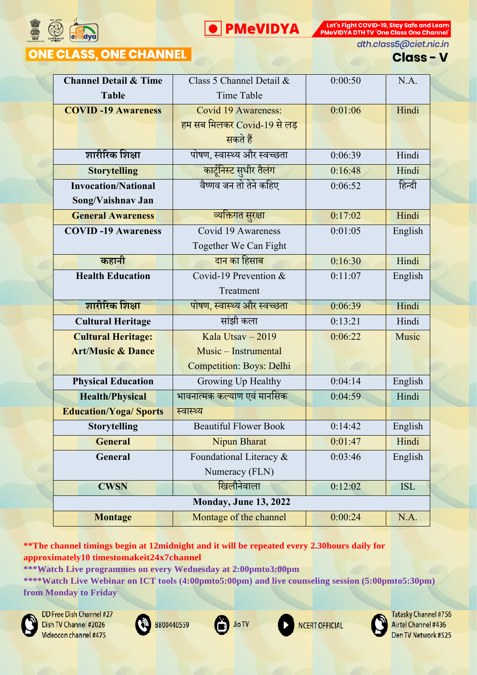



dth.class5@ciet.nic.in

## **ONE CLASS, ONE CHANNEL**

**Class - V** 

| <b>Channel Detail &amp; Time</b> | Class 5 Channel Detail &        | 0:00:50 | N.A.       |
|----------------------------------|---------------------------------|---------|------------|
| <b>Table</b>                     | <b>Time Table</b>               |         |            |
| <b>COVID-19 Awareness</b>        | <b>Covid 19 Awareness:</b>      | 0:01:06 | Hindi      |
|                                  | हम सब मिलकर Covid-19 से लड़     |         |            |
|                                  | सकते हैं                        |         |            |
| शारीरिक शिक्षा                   | पोषण, स्वास्थ्य और स्वच्छता     | 0:06:39 | Hindi      |
| <b>Storytelling</b>              | कार्टूनिस्ट सुधीर तैलंग         | 0:16:48 | Hindi      |
| <b>Invocation/National</b>       | वैष्णव जन तो तेने कहिए          | 0:06:52 | हिन्दी     |
| Song/Vaishnav Jan                |                                 |         |            |
| <b>General Awareness</b>         | <mark>व्यक्तिगत सुरक्षा</mark>  | 0:17:02 | Hindi      |
| <b>COVID-19 Awareness</b>        | Covid 19 Awareness              | 0:01:05 | English    |
|                                  | Together We Can Fight           |         |            |
| कहानी                            | <u>दान का हिसाब</u>             | 0:16:30 | Hindi      |
| <b>Health Education</b>          | Covid-19 Prevention &           | 0:11:07 | English    |
|                                  | Treatment                       |         |            |
| शारीरिक शिक्षा                   | पोषण, स्वास्थ्य और स्वच्छता     | 0:06:39 | Hindi      |
| <b>Cultural Heritage</b>         | सांझी कला                       | 0:13:21 | Hindi      |
| <b>Cultural Heritage:</b>        | Kala Utsay $-2019$              | 0:06:22 | Music      |
| <b>Art/Music &amp; Dance</b>     | Music – Instrumental            |         |            |
|                                  | <b>Competition: Boys: Delhi</b> |         |            |
| <b>Physical Education</b>        | Growing Up Healthy              | 0:04:14 | English    |
| <b>Health/Physical</b>           | भावनात्मक कल्याण एवं मानसिक     | 0:04:59 | Hindi      |
| <b>Education/Yoga/ Sports</b>    | स्वास्थ्य                       |         |            |
| <b>Storytelling</b>              | <b>Beautiful Flower Book</b>    | 0:14:42 | English    |
| <b>General</b>                   | <b>Nipun Bharat</b>             | 0:01:47 | Hindi      |
| General                          | Foundational Literacy &         | 0:03:46 | English    |
|                                  | Numeracy (FLN)                  |         |            |
| <b>CWSN</b>                      | खिलौनेवाला                      | 0:12:02 | <b>ISL</b> |
|                                  | <b>Monday, June 13, 2022</b>    |         |            |
| <b>Montage</b>                   | Montage of the channel          | 0:00:24 | N.A.       |

#### **\*\*The channel timings begin at 12midnight and it will be repeated every 2.30hours daily for approximately10 timestomakeit24x7channel**

**\*\*\*Watch Live programmes on every Wednesday at 2:00pmto3:00pm**

**\*\*\*\*Watch Live Webinar on ICT tools (4:00pmto5:00pm) and live counseling session (5:00pmto5:30pm) from Monday to Friday**



DD Free Dish Channel #27 Dish TV Channel #2026 Videocon channel #475





**NCERT OFFICIAL** 

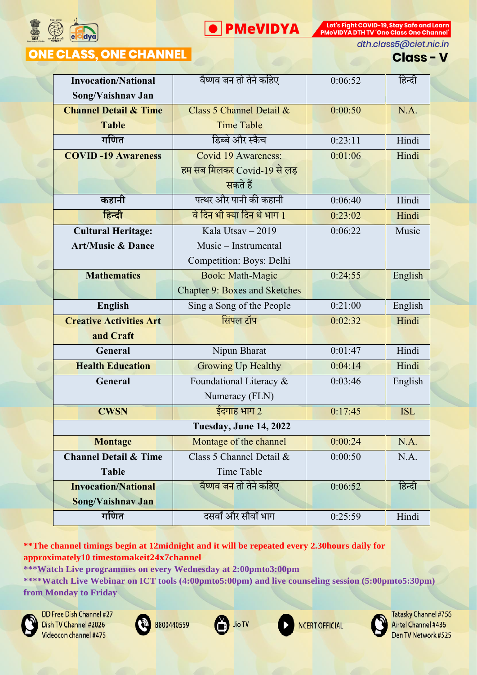



dth.class5@ciet.nic.in

# **ONE CLASS, ONE CHANNEL**

**Class - V** 

| <b>Invocation/National</b>       | वैष्णव जन तो तेने कहिए               | 0:06:52 | हिन्दी     |
|----------------------------------|--------------------------------------|---------|------------|
| Song/Vaishnav Jan                |                                      |         |            |
| <b>Channel Detail &amp; Time</b> | Class 5 Channel Detail &             | 0:00:50 | N.A.       |
| <b>Table</b>                     | <b>Time Table</b>                    |         |            |
| गणित                             | डिब्बे और स्कैच                      | 0:23:11 | Hindi      |
| <b>COVID-19 Awareness</b>        | <b>Covid 19 Awareness:</b>           | 0:01:06 | Hindi      |
|                                  | हम सब मिलकर Covid-19 से लड़          |         |            |
|                                  | सकते हैं                             |         |            |
| कहानी                            | पत्थर और पानी की कहानी               | 0:06:40 | Hindi      |
| हिन्दी                           | वे दिन भी क्या दिन थे भाग 1          | 0:23:02 | Hindi      |
| <b>Cultural Heritage:</b>        | Kala Utsay $-2019$                   | 0:06:22 | Music      |
| <b>Art/Music &amp; Dance</b>     | Music – Instrumental                 |         |            |
|                                  | Competition: Boys: Delhi             |         |            |
| <b>Mathematics</b>               | <b>Book: Math-Magic</b>              | 0:24:55 | English    |
|                                  | <b>Chapter 9: Boxes and Sketches</b> |         |            |
| <b>English</b>                   | Sing a Song of the People            | 0:21:00 | English    |
| <b>Creative Activities Art</b>   | सिंपल टॉप                            | 0:02:32 | Hindi      |
| and Craft                        |                                      |         |            |
| General                          | Nipun Bharat                         | 0:01:47 | Hindi      |
| <b>Health Education</b>          | <b>Growing Up Healthy</b>            | 0:04:14 | Hindi      |
| General                          | Foundational Literacy &              | 0:03:46 | English    |
|                                  | Numeracy (FLN)                       |         |            |
| <b>CWSN</b>                      | ईदगाह भाग 2                          | 0:17:45 | <b>ISL</b> |
|                                  | Tuesday, June 14, 2022               |         |            |
| <b>Montage</b>                   | Montage of the channel               | 0:00:24 | N.A.       |
| <b>Channel Detail &amp; Time</b> | Class 5 Channel Detail &             | 0:00:50 | N.A.       |
| <b>Table</b>                     | <b>Time Table</b>                    |         |            |
| <b>Invocation/National</b>       | वैष्णव जन तो तेने कहिए               | 0:06:52 | हिन्दी     |
| Song/Vaishnav Jan                |                                      |         |            |
| गणित                             | दसवाँ और सौवाँ भाग                   | 0:25:59 | Hindi      |

**\*\*The channel timings begin at 12midnight and it will be repeated every 2.30hours daily for approximately10 timestomakeit24x7channel**

**\*\*\*Watch Live programmes on every Wednesday at 2:00pmto3:00pm**

**\*\*\*\*Watch Live Webinar on ICT tools (4:00pmto5:00pm) and live counseling session (5:00pmto5:30pm) from Monday to Friday**

Jio TV



DD Free Dish Channel #27 Dish TV Channel #2026 Videocon channel #475





**NCERT OFFICIAL** 

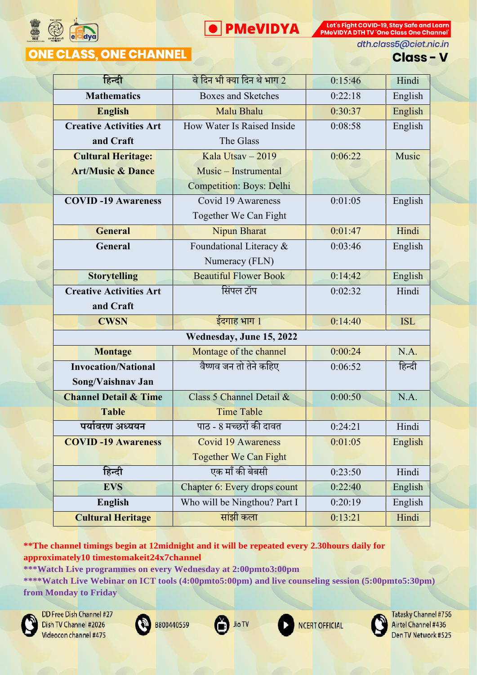



# **ONE CLASS, ONE CHANNEL**

dth.class5@ciet.nic.in

### **Class - V**

| हिन्दी                           | वे दिन भी क्या दिन थे भाग 2  | 0:15:46 | Hindi      |
|----------------------------------|------------------------------|---------|------------|
| <b>Mathematics</b>               | <b>Boxes and Sketches</b>    | 0:22:18 | English    |
| <b>English</b>                   | Malu Bhalu                   | 0:30:37 | English    |
| <b>Creative Activities Art</b>   | How Water Is Raised Inside   | 0:08:58 | English    |
| and Craft                        | The Glass                    |         |            |
| <b>Cultural Heritage:</b>        | Kala Utsay $-2019$           | 0:06:22 | Music      |
| <b>Art/Music &amp; Dance</b>     | Music – Instrumental         |         |            |
|                                  | Competition: Boys: Delhi     |         |            |
| <b>COVID-19 Awareness</b>        | Covid 19 Awareness           | 0:01:05 | English    |
|                                  | Together We Can Fight        |         |            |
| <b>General</b>                   | Nipun Bharat                 | 0:01:47 | Hindi      |
| General                          | Foundational Literacy &      | 0:03:46 | English    |
|                                  | Numeracy (FLN)               |         |            |
| <b>Storytelling</b>              | <b>Beautiful Flower Book</b> | 0:14:42 | English    |
| <b>Creative Activities Art</b>   | सिंपल टॉप                    | 0:02:32 | Hindi      |
| and Craft                        |                              |         |            |
| <b>CWSN</b>                      | ईदगाह भाग 1                  | 0:14:40 | <b>ISL</b> |
|                                  | Wednesday, June 15, 2022     |         |            |
| <b>Montage</b>                   | Montage of the channel       | 0:00:24 | N.A.       |
| <b>Invocation/National</b>       | वैष्णव जन तो तेने कहिए       | 0:06:52 | हिन्दी     |
| Song/Vaishnav Jan                |                              |         |            |
| <b>Channel Detail &amp; Time</b> | Class 5 Channel Detail &     | 0:00:50 | N.A.       |
| <b>Table</b>                     | <b>Time Table</b>            |         |            |
| पर्यावरण अध्ययन                  | पाठ - 8 मच्छरों की दावत      | 0:24:21 | Hindi      |
| <b>COVID-19 Awareness</b>        | <b>Covid 19 Awareness</b>    | 0:01:05 | English    |
|                                  | <b>Together We Can Fight</b> |         |            |
| हिन्दी                           | एक माँ की बेबसी              | 0:23:50 | Hindi      |
| <b>EVS</b>                       |                              | 0:22:40 | English    |
|                                  | Chapter 6: Every drops count |         |            |
| <b>English</b>                   | Who will be Ningthou? Part I | 0:20:19 | English    |

**\*\*The channel timings begin at 12midnight and it will be repeated every 2.30hours daily for approximately10 timestomakeit24x7channel**

**\*\*\*Watch Live programmes on every Wednesday at 2:00pmto3:00pm**

**\*\*\*\*Watch Live Webinar on ICT tools (4:00pmto5:00pm) and live counseling session (5:00pmto5:30pm) from Monday to Friday**

Jio TV



DD Free Dish Channel #27 Dish TV Channel #2026 Videocon channel #475





**NCERT OFFICIAL** 

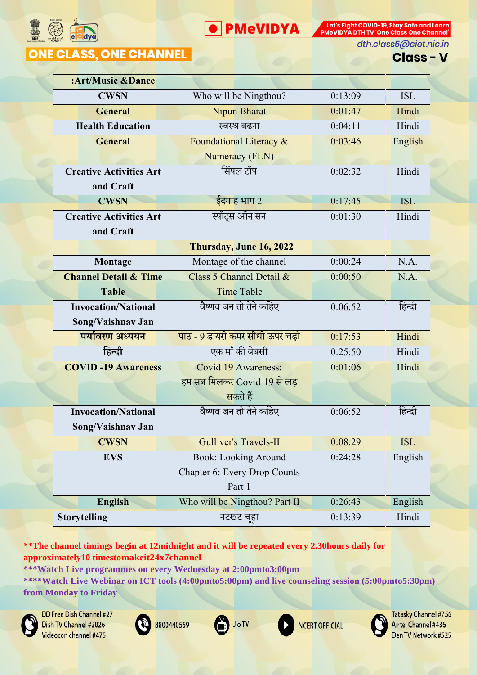

**PMeVIDYA** 

Let's Fight COVID-19, Stay Safe and Learn PMeVIDYA DTH TV 'One Class One Channel'

# **ONE CLASS, ONE CHANNEL**

dth.class5@ciet.nic.in

### **Class - V**

| :Art/Music &Dance                |                                        |         |            |
|----------------------------------|----------------------------------------|---------|------------|
| <b>CWSN</b>                      | Who will be Ningthou?                  | 0:13:09 | <b>ISL</b> |
| <b>General</b>                   | Nipun Bharat                           | 0:01:47 | Hindi      |
| <b>Health Education</b>          | स्वस्थ बढ़ना                           | 0:04:11 | Hindi      |
| <b>General</b>                   | Foundational Literacy &                | 0:03:46 | English    |
|                                  | Numeracy (FLN)                         |         |            |
| <b>Creative Activities Art</b>   | सिंपल टॉप                              | 0:02:32 | Hindi      |
| and Craft                        |                                        |         |            |
| <b>CWSN</b>                      | ईदगाह भाग 2                            | 0:17:45 | <b>ISL</b> |
| <b>Creative Activities Art</b>   | स्पॉट्स ऑन सन                          | 0:01:30 | Hindi      |
| and Craft                        |                                        |         |            |
|                                  | Thursday, June 16, 2022                |         |            |
| Montage                          | Montage of the channel                 | 0:00:24 | N.A.       |
| <b>Channel Detail &amp; Time</b> | Class 5 Channel Detail &               | 0:00:50 | N.A.       |
| <b>Table</b>                     | <b>Time Table</b>                      |         |            |
| <b>Invocation/National</b>       | वैष्णव जन तो तेने कहिए                 | 0:06:52 | हिन्दी     |
| Song/Vaishnav Jan                |                                        |         |            |
| पर्यावरण अध्ययन                  | <u>पाठ - 9 डायरी कमर सीधी ऊपर चढ़ो</u> | 0:17:53 | Hindi      |
| हिन्दी                           | एक माँ की बेबसी                        | 0:25:50 | Hindi      |
| <b>COVID-19 Awareness</b>        | <b>Covid 19 Awareness:</b>             | 0:01:06 | Hindi      |
|                                  | हम सब मिलकर Covid-19 से लड़            |         |            |
|                                  | सकते हैं                               |         |            |
| <b>Invocation/National</b>       | वैष्णव जन तो तेने कहिए                 | 0:06:52 | हिन्दी     |
| Song/Vaishnav Jan                |                                        |         |            |
| <b>CWSN</b>                      | <b>Gulliver's Travels-II</b>           | 0:08:29 | <b>ISL</b> |
| <b>EVS</b>                       | <b>Book: Looking Around</b>            | 0:24:28 | English    |
|                                  | <b>Chapter 6: Every Drop Counts</b>    |         |            |
|                                  | Part 1                                 |         |            |
| <b>English</b>                   | Who will be Ningthou? Part II          | 0:26:43 | English    |
| <b>Storytelling</b>              | नटखट चूहा                              | 0:13:39 | Hindi      |
|                                  |                                        |         |            |

**\*\*The channel timings begin at 12midnight and it will be repeated every 2.30hours daily for approximately10 timestomakeit24x7channel**

**\*\*\*Watch Live programmes on every Wednesday at 2:00pmto3:00pm**

**\*\*\*\*Watch Live Webinar on ICT tools (4:00pmto5:00pm) and live counseling session (5:00pmto5:30pm) from Monday to Friday**



DD Free Dish Channel #27 Dish TV Channel #2026 Videocon channel #475





**NCERT OFFICIAL** 

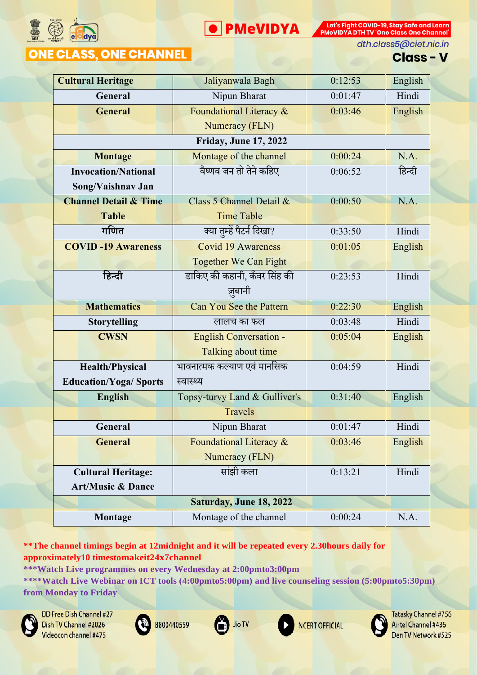

**PMeVIDYA** 

Let's Fight COVID-19, Stay Safe and Learn PMeVIDYA DTH TV 'One Class One Channel'

# **ONE CLASS, ONE CHANNEL**

dth.class5@ciet.nic.in

### **Class - V**

| <b>Cultural Heritage</b>         | Jaliyanwala Bagh               | 0:12:53 | English |
|----------------------------------|--------------------------------|---------|---------|
| General                          | Nipun Bharat                   | 0:01:47 | Hindi   |
| <b>General</b>                   | Foundational Literacy &        | 0:03:46 | English |
|                                  | Numeracy (FLN)                 |         |         |
|                                  | Friday, June 17, 2022          |         |         |
| <b>Montage</b>                   | Montage of the channel         | 0:00:24 | N.A.    |
| <b>Invocation/National</b>       | वैष्णव जन तो तेने कहिए         | 0:06:52 | हिन्दी  |
| Song/Vaishnav Jan                |                                |         |         |
| <b>Channel Detail &amp; Time</b> | Class 5 Channel Detail &       | 0:00:50 | N.A.    |
| <b>Table</b>                     | <b>Time Table</b>              |         |         |
| गणित                             | क्या तुम्हें पैटर्न दिखा?      | 0:33:50 | Hindi   |
| <b>COVID-19 Awareness</b>        | <b>Covid 19 Awareness</b>      | 0:01:05 | English |
|                                  | <b>Together We Can Fight</b>   |         |         |
| हिन्दी                           | डाकिए की कहानी, कँवर सिंह की   | 0:23:53 | Hindi   |
|                                  | ज़्बानी                        |         |         |
| <b>Mathematics</b>               | <b>Can You See the Pattern</b> | 0:22:30 | English |
| <b>Storytelling</b>              | लालच का फल                     | 0:03:48 | Hindi   |
| <b>CWSN</b>                      | <b>English Conversation -</b>  | 0:05:04 | English |
|                                  | Talking about time             |         |         |
| <b>Health/Physical</b>           | भावनात्मक कल्याण एवं मानसिक    | 0:04:59 | Hindi   |
| <b>Education/Yoga/ Sports</b>    | स्वास्थ्य                      |         |         |
| <b>English</b>                   | Topsy-turvy Land & Gulliver's  | 0:31:40 | English |
|                                  | <b>Travels</b>                 |         |         |
| General                          | Nipun Bharat                   | 0:01:47 | Hindi   |
| <b>General</b>                   | Foundational Literacy &        | 0:03:46 | English |
|                                  | Numeracy (FLN)                 |         |         |
| <b>Cultural Heritage:</b>        | सांझी कला                      | 0:13:21 | Hindi   |
| <b>Art/Music &amp; Dance</b>     |                                |         |         |
|                                  | Saturday, June 18, 2022        |         |         |
| <b>Montage</b>                   | Montage of the channel         | 0:00:24 | N.A.    |

#### **\*\*The channel timings begin at 12midnight and it will be repeated every 2.30hours daily for approximately10 timestomakeit24x7channel**

**\*\*\*Watch Live programmes on every Wednesday at 2:00pmto3:00pm**

**\*\*\*\*Watch Live Webinar on ICT tools (4:00pmto5:00pm) and live counseling session (5:00pmto5:30pm) from Monday to Friday**

Jio TV



DD Free Dish Channel #27 Dish TV Channel #2026 Videocon channel #475





**NCERT OFFICIAL** 

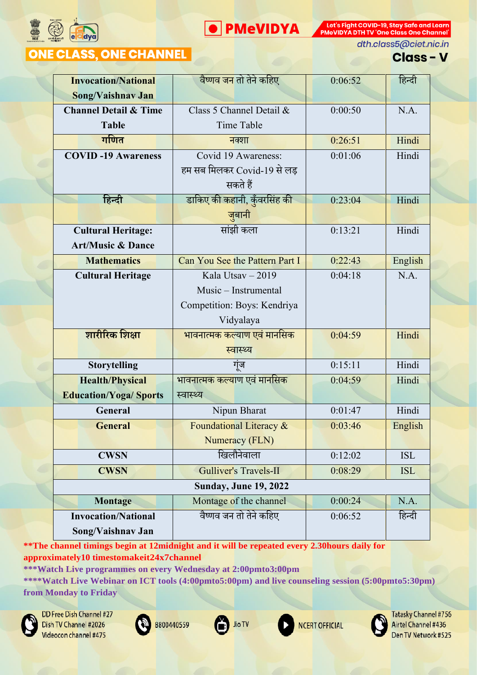



# **ONE CLASS, ONE CHANNEL**

dth.class5@ciet.nic.in

### **Class - V**

| <b>Invocation/National</b>       | वैष्णव जन तो तेने कहिए         | 0:06:52 | हिन्दी     |
|----------------------------------|--------------------------------|---------|------------|
| <b>Song/Vaishnav Jan</b>         |                                |         |            |
| <b>Channel Detail &amp; Time</b> | Class 5 Channel Detail &       | 0:00:50 | N.A.       |
| <b>Table</b>                     | <b>Time Table</b>              |         |            |
| गणित                             | नक्शा                          | 0:26:51 | Hindi      |
| <b>COVID-19 Awareness</b>        | Covid 19 Awareness:            | 0:01:06 | Hindi      |
|                                  | हम सब मिलकर Covid-19 से लड़    |         |            |
|                                  | सकते हैं                       |         |            |
| हिन्दी                           | डाकिए की कहानी, कुँवरसिंह की   | 0:23:04 | Hindi      |
|                                  | जुबानी                         |         |            |
| <b>Cultural Heritage:</b>        | सांझी कला                      | 0:13:21 | Hindi      |
| <b>Art/Music &amp; Dance</b>     |                                |         |            |
| <b>Mathematics</b>               | Can You See the Pattern Part I | 0:22:43 | English    |
| <b>Cultural Heritage</b>         | Kala Utsay $-2019$             | 0:04:18 | N.A.       |
|                                  | Music – Instrumental           |         |            |
|                                  | Competition: Boys: Kendriya    |         |            |
|                                  | Vidyalaya                      |         |            |
| शारीरिक शिक्षा                   | भावनात्मक कल्याण एवं मानसिक    | 0:04:59 | Hindi      |
|                                  | स्वास्थ्य                      |         |            |
| <b>Storytelling</b>              | गंज                            | 0:15:11 | Hindi      |
| <b>Health/Physical</b>           | भावनात्मक कल्याण एवं मानसिक    | 0:04:59 | Hindi      |
| <b>Education/Yoga/ Sports</b>    | स्वास्थ्य                      |         |            |
| General                          | Nipun Bharat                   | 0:01:47 | Hindi      |
| <b>General</b>                   | Foundational Literacy &        | 0:03:46 | English    |
|                                  | Numeracy (FLN)                 |         |            |
| <b>CWSN</b>                      | खिलौनेवाला                     | 0:12:02 | <b>ISL</b> |
| <b>CWSN</b>                      | <b>Gulliver's Travels-II</b>   | 0:08:29 | <b>ISL</b> |
| <b>Sunday, June 19, 2022</b>     |                                |         |            |
| <b>Montage</b>                   | Montage of the channel         | 0:00:24 | N.A.       |
| <b>Invocation/National</b>       | वैष्णव जन तो तेने कहिए         | 0:06:52 | हिन्दी     |
| Song/Vaishnav Jan                |                                |         |            |

**\*\*The channel timings begin at 12midnight and it will be repeated every 2.30hours daily for approximately10 timestomakeit24x7channel**

**\*\*\*Watch Live programmes on every Wednesday at 2:00pmto3:00pm**

**\*\*\*\*Watch Live Webinar on ICT tools (4:00pmto5:00pm) and live counseling session (5:00pmto5:30pm) from Monday to Friday**



DD Free Dish Channel #27 Dish TV Channel #2026 Videocon channel #475





**NCERT OFFICIAL** 

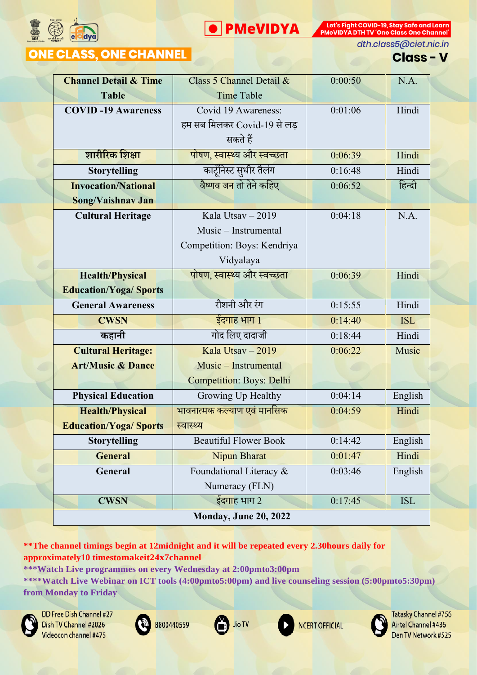



# **ONE CLASS, ONE CHANNEL**

dth.class5@ciet.nic.in

### **Class - V**

| <b>Channel Detail &amp; Time</b> | Class 5 Channel Detail &        | 0:00:50 | N.A.       |
|----------------------------------|---------------------------------|---------|------------|
| <b>Table</b>                     | <b>Time Table</b>               |         |            |
| <b>COVID-19 Awareness</b>        | Covid 19 Awareness:             | 0:01:06 | Hindi      |
|                                  | हम सब मिलकर Covid-19 से लड़     |         |            |
|                                  | सकते हैं                        |         |            |
| शारीरिक शिक्षा                   | पोषण, स्वास्थ्य और स्वच्छता     | 0:06:39 | Hindi      |
| <b>Storytelling</b>              | कार्टूनिस्ट सुधीर तैलंग         | 0:16:48 | Hindi      |
| <b>Invocation/National</b>       | वैष्णव जन तो तेने कहिए          | 0:06:52 | हिन्दी     |
| <b>Song/Vaishnav Jan</b>         |                                 |         |            |
| <b>Cultural Heritage</b>         | Kala Utsay $-2019$              | 0:04:18 | N.A.       |
|                                  | Music - Instrumental            |         |            |
|                                  | Competition: Boys: Kendriya     |         |            |
|                                  | Vidyalaya                       |         |            |
| <b>Health/Physical</b>           | पोषण, स्वास्थ्य और स्वच्छता     | 0:06:39 | Hindi      |
| <b>Education/Yoga/ Sports</b>    |                                 |         |            |
| <b>General Awareness</b>         | रौशनी और रंग                    | 0:15:55 | Hindi      |
| <b>CWSN</b>                      | ईदगाह भाग 1                     | 0:14:40 | <b>ISL</b> |
| कहानी                            | गोद लिए दादाजी                  | 0:18:44 | Hindi      |
| <b>Cultural Heritage:</b>        | Kala Utsay $-2019$              | 0:06:22 | Music      |
| <b>Art/Music &amp; Dance</b>     | Music – Instrumental            |         |            |
|                                  | <b>Competition: Boys: Delhi</b> |         |            |
| <b>Physical Education</b>        | Growing Up Healthy              | 0:04:14 | English    |
| <b>Health/Physical</b>           | भावनात्मक कल्याण एवं मानसिक     | 0:04:59 | Hindi      |
| <b>Education/Yoga/ Sports</b>    | स्वास्थ्य                       |         |            |
| <b>Storytelling</b>              | <b>Beautiful Flower Book</b>    | 0:14:42 | English    |
| <b>General</b>                   | Nipun Bharat                    | 0:01:47 | Hindi      |
| General                          | Foundational Literacy &         | 0:03:46 | English    |
|                                  | Numeracy (FLN)                  |         |            |
| <b>CWSN</b>                      | ईदगाह भाग 2                     | 0:17:45 | <b>ISL</b> |
| <b>Monday, June 20, 2022</b>     |                                 |         |            |

#### **\*\*The channel timings begin at 12midnight and it will be repeated every 2.30hours daily for approximately10 timestomakeit24x7channel**

**\*\*\*Watch Live programmes on every Wednesday at 2:00pmto3:00pm**

**\*\*\*\*Watch Live Webinar on ICT tools (4:00pmto5:00pm) and live counseling session (5:00pmto5:30pm) from Monday to Friday**



DD Free Dish Channel #27 Dish TV Channel #2026 Videocon channel #475





**NCERT OFFICIAL** 

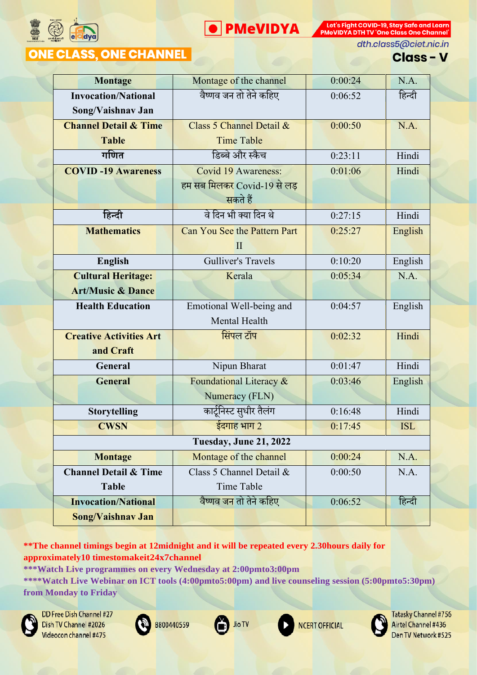



## **ONE CLASS, ONE CHANNEL**

dth.class5@ciet.nic.in

### **Class - V**

| <b>Montage</b>                   | Montage of the channel        | 0:00:24 | N.A.       |
|----------------------------------|-------------------------------|---------|------------|
| <b>Invocation/National</b>       | वैष्णव जन तो तेने कहिए        | 0:06:52 | हिन्दी     |
| Song/Vaishnav Jan                |                               |         |            |
| <b>Channel Detail &amp; Time</b> | Class 5 Channel Detail &      | 0:00:50 | N.A.       |
| <b>Table</b>                     | <b>Time Table</b>             |         |            |
| गणित                             | डिब्बे और स्कैच               | 0:23:11 | Hindi      |
| <b>COVID-19 Awareness</b>        | <b>Covid 19 Awareness:</b>    | 0:01:06 | Hindi      |
|                                  | हम सब मिलकर Covid-19 से लड़   |         |            |
|                                  | सकते हैं                      |         |            |
| हिन्दी                           | वे दिन भी क्या दिन थे         | 0:27:15 | Hindi      |
| <b>Mathematics</b>               | Can You See the Pattern Part  | 0:25:27 | English    |
|                                  | $\mathbf{I}$                  |         |            |
| <b>English</b>                   | <b>Gulliver's Travels</b>     | 0:10:20 | English    |
| <b>Cultural Heritage:</b>        | Kerala                        | 0:05:34 | N.A.       |
| <b>Art/Music &amp; Dance</b>     |                               |         |            |
| <b>Health Education</b>          | Emotional Well-being and      | 0:04:57 | English    |
|                                  | <b>Mental Health</b>          |         |            |
| <b>Creative Activities Art</b>   | सिंपल टॉप                     | 0:02:32 | Hindi      |
| and Craft                        |                               |         |            |
| General                          | Nipun Bharat                  | 0:01:47 | Hindi      |
| <b>General</b>                   | Foundational Literacy &       | 0:03:46 | English    |
|                                  | Numeracy (FLN)                |         |            |
| <b>Storytelling</b>              | कार्टूनिस्ट सुधीर तैलंग       | 0:16:48 | Hindi      |
| <b>CWSN</b>                      | ईदगाह भाग 2                   | 0:17:45 | <b>ISL</b> |
|                                  | <b>Tuesday, June 21, 2022</b> |         |            |
| <b>Montage</b>                   | Montage of the channel        | 0:00:24 | N.A.       |
| <b>Channel Detail &amp; Time</b> | Class 5 Channel Detail &      | 0:00:50 | N.A.       |
| <b>Table</b>                     | <b>Time Table</b>             |         |            |
| <b>Invocation/National</b>       | वैष्णव जन तो तेने कहिए        | 0:06:52 | हिन्दी     |
| Song/Vaishnav Jan                |                               |         |            |
|                                  |                               |         |            |

**\*\*The channel timings begin at 12midnight and it will be repeated every 2.30hours daily for approximately10 timestomakeit24x7channel**

**\*\*\*Watch Live programmes on every Wednesday at 2:00pmto3:00pm**

**\*\*\*\*Watch Live Webinar on ICT tools (4:00pmto5:00pm) and live counseling session (5:00pmto5:30pm) from Monday to Friday**



DD Free Dish Channel #27 Dish TV Channel #2026 Videocon channel #475





**NCERT OFFICIAL** 

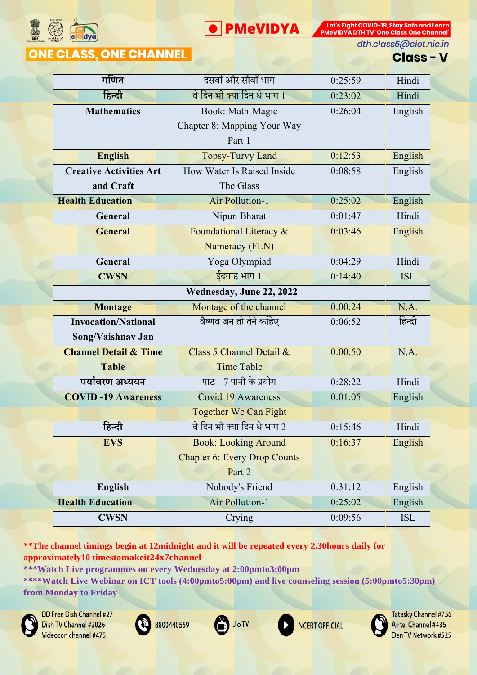

**• PMeVIDYA** 

Let's Fight COVID-19, Stay Safe and Learn PMeVIDYA DTH TV 'One Class One Channel'

# **ONE CLASS, ONE CHANNEL**

dth.class5@ciet.nic.in

### **Class - V**

| गणित $\overline{\phantom{a}}$    | दसवाँ और सौवाँ भाग                  | 0:25:59 | Hindi      |
|----------------------------------|-------------------------------------|---------|------------|
| हिन्दी                           | वे दिन भी क्या दिन थे भाग 1         | 0:23:02 | Hindi      |
| <b>Mathematics</b>               | Book: Math-Magic                    | 0:26:04 | English    |
|                                  | Chapter 8: Mapping Your Way         |         |            |
|                                  | Part 1                              |         |            |
| <b>English</b>                   | <b>Topsy-Turvy Land</b>             | 0:12:53 | English    |
| <b>Creative Activities Art</b>   | How Water Is Raised Inside          | 0:08:58 | English    |
| and Craft                        | The Glass                           |         |            |
| <b>Health Education</b>          | <b>Air Pollution-1</b>              | 0:25:02 | English    |
| General                          | Nipun Bharat                        | 0:01:47 | Hindi      |
| <b>General</b>                   | Foundational Literacy &             | 0:03:46 | English    |
|                                  | Numeracy (FLN)                      |         |            |
| General                          | Yoga Olympiad                       | 0:04:29 | Hindi      |
| <b>CWSN</b>                      | ईदगाह भाग 1                         | 0:14:40 | <b>ISL</b> |
|                                  | Wednesday, June 22, 2022            |         |            |
| <b>Montage</b>                   | Montage of the channel              | 0:00:24 | N.A.       |
| <b>Invocation/National</b>       | वैष्णव जन तो तेने कहिए              | 0:06:52 | हिन्दी     |
| Song/Vaishnav Jan                |                                     |         |            |
| <b>Channel Detail &amp; Time</b> | Class 5 Channel Detail &            | 0:00:50 | N.A.       |
| <b>Table</b>                     | <b>Time Table</b>                   |         |            |
| पर्यावरण अध्ययन                  | पाठ - 7 पानी के प्रयोग              | 0:28:22 | Hindi      |
| <b>COVID-19 Awareness</b>        | <b>Covid 19 Awareness</b>           | 0:01:05 | English    |
|                                  | <b>Together We Can Fight</b>        |         |            |
| हिन्दी                           | वे दिन भी क्या दिन थे भाग 2         | 0:15:46 | Hindi      |
| <b>EVS</b>                       | <b>Book: Looking Around</b>         | 0:16:37 | English    |
|                                  | <b>Chapter 6: Every Drop Counts</b> |         |            |
|                                  | Part 2                              |         |            |
| <b>English</b>                   | Nobody's Friend                     | 0:31:12 | English    |
| <b>Health Education</b>          | Air Pollution-1                     | 0:25:02 | English    |
| <b>CWSN</b>                      | Crying                              | 0:09:56 | <b>ISL</b> |

**\*\*The channel timings begin at 12midnight and it will be repeated every 2.30hours daily for approximately10 timestomakeit24x7channel**

**\*\*\*Watch Live programmes on every Wednesday at 2:00pmto3:00pm**

**\*\*\*\*Watch Live Webinar on ICT tools (4:00pmto5:00pm) and live counseling session (5:00pmto5:30pm) from Monday to Friday**

Jio TV



DD Free Dish Channel #27 Dish TV Channel #2026 Videocon channel #475





**NCERT OFFICIAL** 

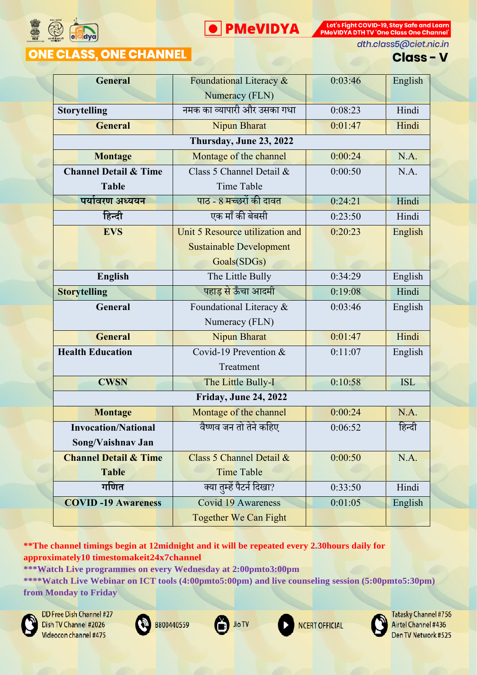

**PMeVIDYA** 

Let's Fight COVID-19, Stay Safe and Learn PMeVIDYA DTH TV 'One Class One Channel'

# **ONE CLASS, ONE CHANNEL**

dth.class5@ciet.nic.in

### **Class - V**

| <b>General</b>                   | Foundational Literacy &         | 0:03:46 | English    |
|----------------------------------|---------------------------------|---------|------------|
|                                  | Numeracy (FLN)                  |         |            |
| <b>Storytelling</b>              | नमक का व्यापारी और उसका गधा     | 0:08:23 | Hindi      |
| <b>General</b>                   | <b>Nipun Bharat</b>             | 0:01:47 | Hindi      |
|                                  | Thursday, June 23, 2022         |         |            |
| <b>Montage</b>                   | Montage of the channel          | 0:00:24 | N.A.       |
| <b>Channel Detail &amp; Time</b> | Class 5 Channel Detail &        | 0:00:50 | N.A.       |
| <b>Table</b>                     | Time Table                      |         |            |
| पर्यावरण अध्ययन                  | <u>पाठ - 8 मच्छरों की दावत</u>  | 0:24:21 | Hindi      |
| हिन्दी                           | एक माँ की बेबसी                 | 0:23:50 | Hindi      |
| <b>EVS</b>                       | Unit 5 Resource utilization and | 0:20:23 | English    |
|                                  | <b>Sustainable Development</b>  |         |            |
|                                  | Goals(SDGs)                     |         |            |
| <b>English</b>                   | The Little Bully                | 0:34:29 | English    |
| <b>Storytelling</b>              | पहाड़ से ऊँचा आदमी              | 0:19:08 | Hindi      |
| General                          | Foundational Literacy &         | 0:03:46 | English    |
|                                  | Numeracy (FLN)                  |         |            |
| <b>General</b>                   | Nipun Bharat                    | 0:01:47 | Hindi      |
| <b>Health Education</b>          | Covid-19 Prevention &           | 0:11:07 | English    |
|                                  | Treatment                       |         |            |
| <b>CWSN</b>                      | The Little Bully-I              | 0:10:58 | <b>ISL</b> |
|                                  | <b>Friday, June 24, 2022</b>    |         |            |
| <b>Montage</b>                   | Montage of the channel          | 0:00:24 | N.A.       |
| <b>Invocation/National</b>       | वैष्णव जन तो तेने कहिए          | 0:06:52 | हिन्दी     |
| Song/Vaishnav Jan                |                                 |         |            |
| <b>Channel Detail &amp; Time</b> | Class 5 Channel Detail &        | 0:00:50 | N.A.       |
| <b>Table</b>                     | <b>Time Table</b>               |         |            |
| गणित                             | क्या तुम्हें पैटर्न दिखा?       | 0:33:50 | Hindi      |
| <b>COVID-19 Awareness</b>        | Covid 19 Awareness              | 0:01:05 | English    |
|                                  | <b>Together We Can Fight</b>    |         |            |

**\*\*The channel timings begin at 12midnight and it will be repeated every 2.30hours daily for approximately10 timestomakeit24x7channel**

**\*\*\*Watch Live programmes on every Wednesday at 2:00pmto3:00pm**

**\*\*\*\*Watch Live Webinar on ICT tools (4:00pmto5:00pm) and live counseling session (5:00pmto5:30pm) from Monday to Friday**

Jio TV



DD Free Dish Channel #27 Dish TV Channel #2026 Videocon channel #475





**NCERT OFFICIAL** 

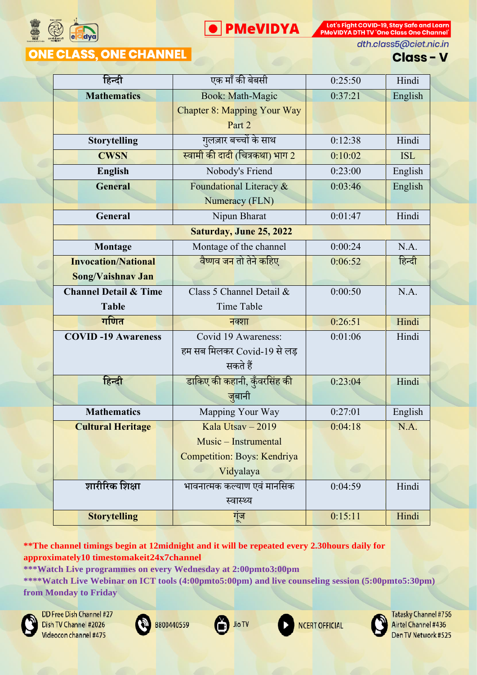

**O** PMeVIDYA

Let's Fight COVID-19, Stay Safe and Learn PMeVIDYA DTH TV 'One Class One Channel'

dth.class5@ciet.nic.in

# **ONE CLASS, ONE CHANNEL**

**Class - V** 

| हिन्दी                           | एक माँ की बेबसी                    | 0:25:50 | Hindi      |
|----------------------------------|------------------------------------|---------|------------|
| <b>Mathematics</b>               | Book: Math-Magic                   | 0:37:21 | English    |
|                                  | <b>Chapter 8: Mapping Your Way</b> |         |            |
|                                  | Part 2                             |         |            |
| <b>Storytelling</b>              | गुलज़ार बच्चों के साथ              | 0:12:38 | Hindi      |
| <b>CWSN</b>                      | स्वामी की दादी (चित्रकथा) भाग 2    | 0:10:02 | <b>ISL</b> |
| <b>English</b>                   | Nobody's Friend                    | 0:23:00 | English    |
| <b>General</b>                   | Foundational Literacy &            | 0:03:46 | English    |
|                                  | Numeracy (FLN)                     |         |            |
| General                          | Nipun Bharat                       | 0:01:47 | Hindi      |
|                                  | <b>Saturday, June 25, 2022</b>     |         |            |
| <b>Montage</b>                   | Montage of the channel             | 0:00:24 | N.A.       |
| <b>Invocation/National</b>       | वैष्णव जन तो तेने कहिए             | 0:06:52 | हिन्दी     |
| Song/Vaishnav Jan                |                                    |         |            |
| <b>Channel Detail &amp; Time</b> | Class 5 Channel Detail &           | 0:00:50 | N.A.       |
| <b>Table</b>                     | <b>Time Table</b>                  |         |            |
| गणित                             | नक्शा                              | 0:26:51 | Hindi      |
| <b>COVID-19 Awareness</b>        | Covid 19 Awareness:                | 0:01:06 | Hindi      |
|                                  | हम सब मिलकर Covid-19 से लड़        |         |            |
|                                  | सकते हैं                           |         |            |
| हिन्दी                           | डाकिए की कहानी, कुँवरसिंह की       | 0:23:04 | Hindi      |
|                                  | जुबानी                             |         |            |
| <b>Mathematics</b>               | Mapping Your Way                   | 0:27:01 | English    |
| <b>Cultural Heritage</b>         | Kala Utsav - 2019                  | 0:04:18 | N.A.       |
|                                  | Music – Instrumental               |         |            |
|                                  | Competition: Boys: Kendriya        |         |            |
|                                  | Vidyalaya                          |         |            |
| शारीरिक शिक्षा                   | भावनात्मक कल्याण एवं मानसिक        | 0:04:59 | Hindi      |
|                                  | स्वास्थ्य                          |         |            |
| <b>Storytelling</b>              | गूंज                               | 0:15:11 | Hindi      |
|                                  |                                    |         |            |

**\*\*The channel timings begin at 12midnight and it will be repeated every 2.30hours daily for approximately10 timestomakeit24x7channel**

**\*\*\*Watch Live programmes on every Wednesday at 2:00pmto3:00pm**

**\*\*\*\*Watch Live Webinar on ICT tools (4:00pmto5:00pm) and live counseling session (5:00pmto5:30pm) from Monday to Friday**

Jio TV



DD Free Dish Channel #27 Dish TV Channel #2026 Videocon channel #475





**NCERT OFFICIAL** 

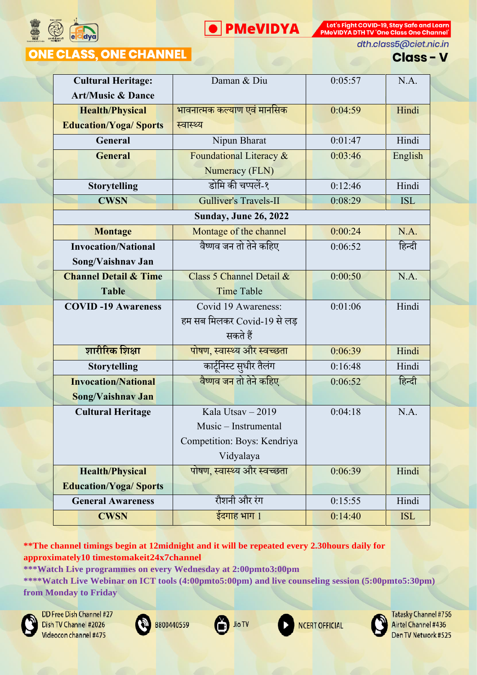



dth.class5@ciet.nic.in

# **ONE CLASS, ONE CHANNEL**

**Class - V** 

| <b>Cultural Heritage:</b>        | Daman & Diu                  | 0:05:57 | N.A.       |
|----------------------------------|------------------------------|---------|------------|
| <b>Art/Music &amp; Dance</b>     |                              |         |            |
| <b>Health/Physical</b>           | भावनात्मक कल्याण एवं मानसिक  | 0:04:59 | Hindi      |
| <b>Education/Yoga/ Sports</b>    | स्वास्थ्य                    |         |            |
| General                          | Nipun Bharat                 | 0:01:47 | Hindi      |
| <b>General</b>                   | Foundational Literacy &      | 0:03:46 | English    |
|                                  | Numeracy (FLN)               |         |            |
| <b>Storytelling</b>              | डोमि की चप्पलें-१            | 0:12:46 | Hindi      |
| <b>CWSN</b>                      | Gulliver's Travels-II        | 0:08:29 | <b>ISL</b> |
|                                  | <b>Sunday, June 26, 2022</b> |         |            |
| <b>Montage</b>                   | Montage of the channel       | 0:00:24 | N.A.       |
| <b>Invocation/National</b>       | वैष्णव जन तो तेने कहिए       | 0:06:52 | हिन्दी     |
| Song/Vaishnav Jan                |                              |         |            |
| <b>Channel Detail &amp; Time</b> | Class 5 Channel Detail &     | 0:00:50 | N.A.       |
| <b>Table</b>                     | <b>Time Table</b>            |         |            |
| <b>COVID-19 Awareness</b>        | Covid 19 Awareness:          | 0:01:06 | Hindi      |
|                                  | हम सब मिलकर Covid-19 से लड़  |         |            |
|                                  | सकते हैं                     |         |            |
| शारीरिक शिक्षा                   | पोषण, स्वास्थ्य और स्वच्छता  | 0:06:39 | Hindi      |
| <b>Storytelling</b>              | कार्टूनिस्ट सुधीर तैलंग      | 0:16:48 | Hindi      |
| <b>Invocation/National</b>       | वैष्णव जन तो तेने कहिए       | 0:06:52 | हिन्दी     |
| Song/Vaishnav Jan                |                              |         |            |
| <b>Cultural Heritage</b>         | Kala Utsav $-2019$           | 0:04:18 | N.A.       |
|                                  | Music – Instrumental         |         |            |
|                                  | Competition: Boys: Kendriya  |         |            |
|                                  | Vidyalaya                    |         |            |
| <b>Health/Physical</b>           | पोषण, स्वास्थ्य और स्वच्छता  | 0:06:39 | Hindi      |
| <b>Education/Yoga/ Sports</b>    |                              |         |            |
| <b>General Awareness</b>         | रौशनी और रंग                 | 0:15:55 | Hindi      |
| <b>CWSN</b>                      | ईदगाह भाग 1                  | 0:14:40 | <b>ISL</b> |
|                                  |                              |         |            |

**\*\*The channel timings begin at 12midnight and it will be repeated every 2.30hours daily for approximately10 timestomakeit24x7channel**

**\*\*\*Watch Live programmes on every Wednesday at 2:00pmto3:00pm**

**\*\*\*\*Watch Live Webinar on ICT tools (4:00pmto5:00pm) and live counseling session (5:00pmto5:30pm) from Monday to Friday**

Jio TV



DD Free Dish Channel #27 Dish TV Channel #2026 Videocon channel #475





**NCERT OFFICIAL** 

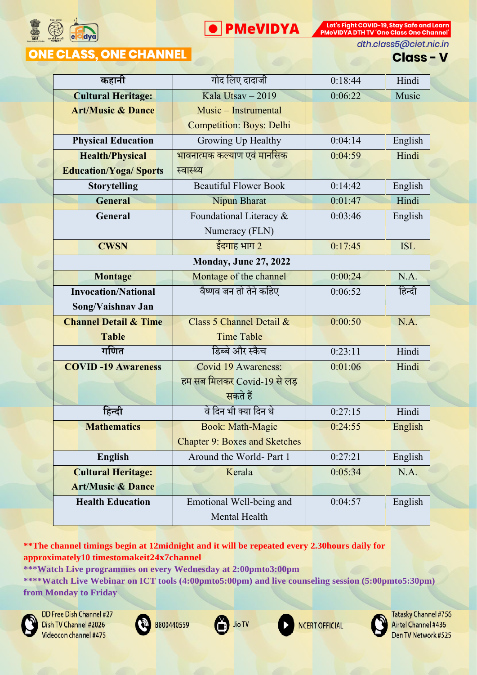

**• PMeVIDYA** 

PMeVIDYA DTH TV 'One Class One Channel'

Let's Fight COVID-19, Stay Safe and Learn

**ONE CLASS, ONE CHANNEL** 

dth.class5@ciet.nic.in

### **Class - V**

| कहानी                            | गोद लिए दादाजी                            | 0:18:44 | Hindi      |
|----------------------------------|-------------------------------------------|---------|------------|
| <b>Cultural Heritage:</b>        | Kala Utsav - 2019                         | 0:06:22 | Music      |
| <b>Art/Music &amp; Dance</b>     | Music – Instrumental                      |         |            |
|                                  | <b>Competition: Boys: Delhi</b>           |         |            |
| <b>Physical Education</b>        | Growing Up Healthy                        | 0:04:14 | English    |
| <b>Health/Physical</b>           | <mark>भावनात्मक कल्या</mark> ण एवं मानसिक | 0:04:59 | Hindi      |
| <b>Education/Yoga/ Sports</b>    | स्वास्थ्य                                 |         |            |
| <b>Storytelling</b>              | <b>Beautiful Flower Book</b>              | 0:14:42 | English    |
| <b>General</b>                   | <b>Nipun Bharat</b>                       | 0:01:47 | Hindi      |
| General                          | Foundational Literacy &                   | 0:03:46 | English    |
|                                  | Numeracy (FLN)                            |         |            |
| <b>CWSN</b>                      | ईदगाह भाग 2                               | 0:17:45 | <b>ISL</b> |
|                                  | <b>Monday, June 27, 2022</b>              |         |            |
| <b>Montage</b>                   | Montage of the channel                    | 0:00:24 | N.A.       |
| <b>Invocation/National</b>       | वैष्णव जन तो तेने कहिए                    | 0:06:52 | हिन्दी     |
| Song/Vaishnav Jan                |                                           |         |            |
| <b>Channel Detail &amp; Time</b> | Class 5 Channel Detail &                  | 0:00:50 | N.A.       |
| <b>Table</b>                     | <b>Time Table</b>                         |         |            |
| गणित                             | डिब्बे और स्कैच                           | 0:23:11 | Hindi      |
| <b>COVID-19 Awareness</b>        | <b>Covid 19 Awareness:</b>                | 0:01:06 | Hindi      |
|                                  | हम सब मिलकर Covid-19 से लड़               |         |            |
|                                  | सकते हैं                                  |         |            |
| हिन्दी                           | वे दिन भी क्या दिन थे                     | 0:27:15 | Hindi      |
| <b>Mathematics</b>               | <b>Book: Math-Magic</b>                   | 0:24:55 | English    |
|                                  | <b>Chapter 9: Boxes and Sketches</b>      |         |            |
| <b>English</b>                   | Around the World- Part 1                  | 0:27:21 | English    |
| <b>Cultural Heritage:</b>        | Kerala                                    | 0:05:34 | N.A.       |
| <b>Art/Music &amp; Dance</b>     |                                           |         |            |
| <b>Health Education</b>          | Emotional Well-being and                  | 0:04:57 | English    |
|                                  | Mental Health                             |         |            |

**\*\*The channel timings begin at 12midnight and it will be repeated every 2.30hours daily for approximately10 timestomakeit24x7channel**

**\*\*\*Watch Live programmes on every Wednesday at 2:00pmto3:00pm**

**\*\*\*\*Watch Live Webinar on ICT tools (4:00pmto5:00pm) and live counseling session (5:00pmto5:30pm) from Monday to Friday**

Jio TV



DD Free Dish Channel #27 Dish TV Channel #2026 Videocon channel #475





**NCERT OFFICIAL** 

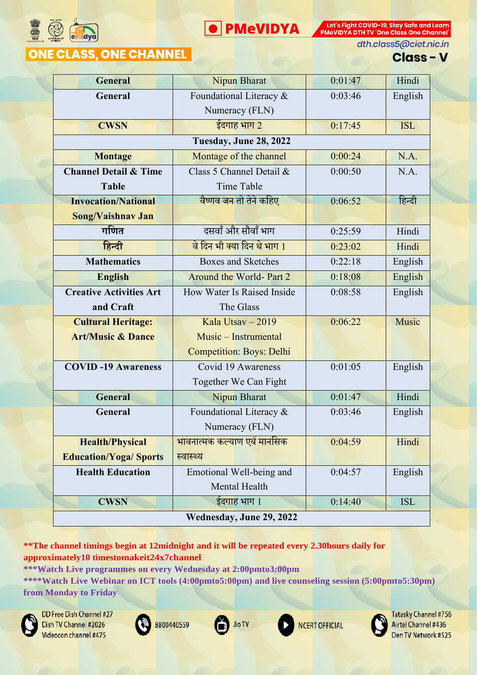

**D** PMeVIDYA

Let's Fight COVID-19, Stay Safe and Learn PMeVIDYA DTH TV 'One Class One Channel'

# **ONE CLASS, ONE CHANNEL**

dth.class5@ciet.nic.in

### **Class - V**

| <b>General</b>                   | <b>Nipun Bharat</b>             | 0:01:47 | Hindi      |
|----------------------------------|---------------------------------|---------|------------|
| General                          | Foundational Literacy &         | 0:03:46 | English    |
|                                  | Numeracy (FLN)                  |         |            |
| <b>CWSN</b>                      | ईदगाह भाग 2                     | 0:17:45 | <b>ISL</b> |
|                                  | Tuesday, June 28, 2022          |         |            |
| <b>Montage</b>                   | Montage of the channel          | 0:00:24 | N.A.       |
| <b>Channel Detail &amp; Time</b> | Class 5 Channel Detail &        | 0:00:50 | N.A.       |
| <b>Table</b>                     | <b>Time Table</b>               |         |            |
| <b>Invocation/National</b>       | <u>वैष्णव जन तो तेने कहिए</u>   | 0:06:52 | हिन्दी     |
| <b>Song/Vaishnav Jan</b>         |                                 |         |            |
| गणित                             | दसवाँ और सौवाँ भाग              | 0:25:59 | Hindi      |
| हिन्दी                           | वे दिन भी क्या दिन थे भाग 1     | 0:23:02 | Hindi      |
| <b>Mathematics</b>               | <b>Boxes and Sketches</b>       | 0:22:18 | English    |
| <b>English</b>                   | Around the World- Part 2        | 0:18:08 | English    |
| <b>Creative Activities Art</b>   | How Water Is Raised Inside      | 0:08:58 | English    |
| and Craft                        | The Glass                       |         |            |
| <b>Cultural Heritage:</b>        | Kala Utsay $-2019$              | 0:06:22 | Music      |
| <b>Art/Music &amp; Dance</b>     | Music – Instrumental            |         |            |
|                                  | <b>Competition: Boys: Delhi</b> |         |            |
| <b>COVID-19 Awareness</b>        | Covid 19 Awareness              | 0:01:05 | English    |
|                                  | Together We Can Fight           |         |            |
| <b>General</b>                   | Nipun Bharat                    | 0:01:47 | Hindi      |
| General                          | Foundational Literacy &         | 0:03:46 | English    |
|                                  | Numeracy (FLN)                  |         |            |
| <b>Health/Physical</b>           | भावनात्मक कल्याण एवं मानसिक     | 0:04:59 | Hindi      |
| <b>Education/Yoga/ Sports</b>    | स्वास्थ्य                       |         |            |
| <b>Health Education</b>          | Emotional Well-being and        | 0:04:57 | English    |
|                                  | Mental Health                   |         |            |
| <b>CWSN</b>                      | ईदगाह भाग 1                     | 0:14:40 | <b>ISL</b> |
| Wednesday, June 29, 2022         |                                 |         |            |

**\*\*The channel timings begin at 12midnight and it will be repeated every 2.30hours daily for approximately10 timestomakeit24x7channel**

**\*\*\*Watch Live programmes on every Wednesday at 2:00pmto3:00pm**

**\*\*\*\*Watch Live Webinar on ICT tools (4:00pmto5:00pm) and live counseling session (5:00pmto5:30pm) from Monday to Friday**

Jio TV



DD Free Dish Channel #27 Dish TV Channel #2026 Videocon channel #475





**NCERT OFFICIAL** 

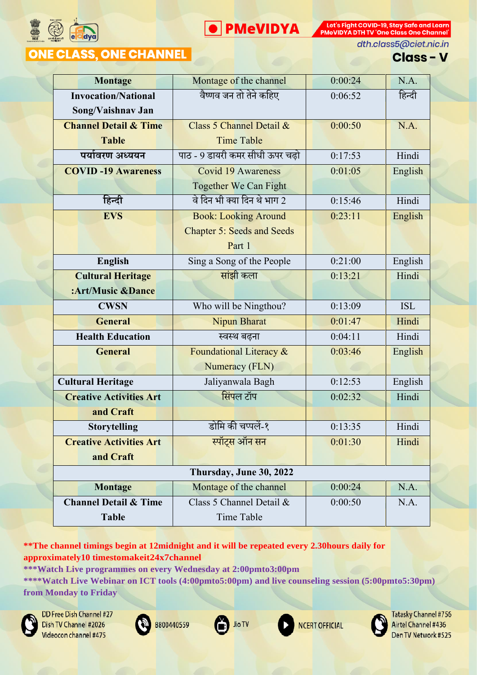



**ONE CLASS, ONE CHANNEL** 

dth.class5@ciet.nic.in

### **Class - V**

| <b>Montage</b>                   | Montage of the channel            | 0:00:24 | N.A.       |  |
|----------------------------------|-----------------------------------|---------|------------|--|
| <b>Invocation/National</b>       | वैष्णव जन तो तेने कहिए            | 0:06:52 | हिन्दी     |  |
| Song/Vaishnav Jan                |                                   |         |            |  |
| <b>Channel Detail &amp; Time</b> | Class 5 Channel Detail &          | 0:00:50 | N.A.       |  |
| <b>Table</b>                     | <b>Time Table</b>                 |         |            |  |
| पर्यावरण अध्ययन                  | पाठ - 9 डायरी कमर सीधी ऊपर चढ़ो   | 0:17:53 | Hindi      |  |
| <b>COVID-19 Awareness</b>        | <b>Covid 19 Awareness</b>         | 0:01:05 | English    |  |
|                                  | Together We Can Fight             |         |            |  |
| हिन्दी                           | वे दिन भी क्या दिन थे भाग 2       | 0:15:46 | Hindi      |  |
| <b>EVS</b>                       | <b>Book: Looking Around</b>       | 0:23:11 | English    |  |
|                                  | <b>Chapter 5: Seeds and Seeds</b> |         |            |  |
|                                  | Part 1                            |         |            |  |
| <b>English</b>                   | Sing a Song of the People         | 0:21:00 | English    |  |
| <b>Cultural Heritage</b>         | सांझी कला                         | 0:13:21 | Hindi      |  |
| :Art/Music &Dance                |                                   |         |            |  |
| <b>CWSN</b>                      | Who will be Ningthou?             | 0:13:09 | <b>ISL</b> |  |
| <b>General</b>                   | <b>Nipun Bharat</b>               | 0:01:47 | Hindi      |  |
| <b>Health Education</b>          | स्वस्थ बढ़ना                      | 0:04:11 | Hindi      |  |
| <b>General</b>                   | Foundational Literacy &           | 0:03:46 | English    |  |
|                                  | Numeracy (FLN)                    |         |            |  |
| <b>Cultural Heritage</b>         | Jaliyanwala Bagh                  | 0:12:53 | English    |  |
| <b>Creative Activities Art</b>   | सिंपल टॉप                         | 0:02:32 | Hindi      |  |
| and Craft                        |                                   |         |            |  |
| <b>Storytelling</b>              | डोमि की चप्पलें-१                 | 0:13:35 | Hindi      |  |
| <b>Creative Activities Art</b>   | स्पॉट्स ऑन सन                     | 0:01:30 | Hindi      |  |
| and Craft                        |                                   |         |            |  |
| Thursday, June 30, 2022          |                                   |         |            |  |
| <b>Montage</b>                   | Montage of the channel            | 0:00:24 | N.A.       |  |
| <b>Channel Detail &amp; Time</b> | Class 5 Channel Detail &          | 0:00:50 | N.A.       |  |
| <b>Table</b>                     | Time Table                        |         |            |  |

**\*\*The channel timings begin at 12midnight and it will be repeated every 2.30hours daily for approximately10 timestomakeit24x7channel**

**\*\*\*Watch Live programmes on every Wednesday at 2:00pmto3:00pm**

**\*\*\*\*Watch Live Webinar on ICT tools (4:00pmto5:00pm) and live counseling session (5:00pmto5:30pm) from Monday to Friday**

Jio TV



DD Free Dish Channel #27 Dish TV Channel #2026 Videocon channel #475





**NCERT OFFICIAL**